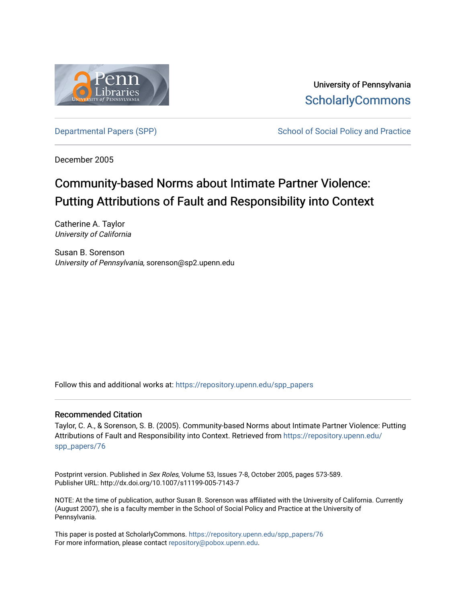

University of Pennsylvania **ScholarlyCommons** 

[Departmental Papers \(SPP\)](https://repository.upenn.edu/spp_papers) The School of Social Policy and Practice

December 2005

# Community-based Norms about Intimate Partner Violence: Putting Attributions of Fault and Responsibility into Context

Catherine A. Taylor University of California

Susan B. Sorenson University of Pennsylvania, sorenson@sp2.upenn.edu

Follow this and additional works at: [https://repository.upenn.edu/spp\\_papers](https://repository.upenn.edu/spp_papers?utm_source=repository.upenn.edu%2Fspp_papers%2F76&utm_medium=PDF&utm_campaign=PDFCoverPages) 

## Recommended Citation

Taylor, C. A., & Sorenson, S. B. (2005). Community-based Norms about Intimate Partner Violence: Putting Attributions of Fault and Responsibility into Context. Retrieved from [https://repository.upenn.edu/](https://repository.upenn.edu/spp_papers/76?utm_source=repository.upenn.edu%2Fspp_papers%2F76&utm_medium=PDF&utm_campaign=PDFCoverPages) [spp\\_papers/76](https://repository.upenn.edu/spp_papers/76?utm_source=repository.upenn.edu%2Fspp_papers%2F76&utm_medium=PDF&utm_campaign=PDFCoverPages) 

Postprint version. Published in Sex Roles, Volume 53, Issues 7-8, October 2005, pages 573-589. Publisher URL: http://dx.doi.org/10.1007/s11199-005-7143-7

NOTE: At the time of publication, author Susan B. Sorenson was affiliated with the University of California. Currently (August 2007), she is a faculty member in the School of Social Policy and Practice at the University of Pennsylvania.

This paper is posted at ScholarlyCommons. [https://repository.upenn.edu/spp\\_papers/76](https://repository.upenn.edu/spp_papers/76)  For more information, please contact [repository@pobox.upenn.edu.](mailto:repository@pobox.upenn.edu)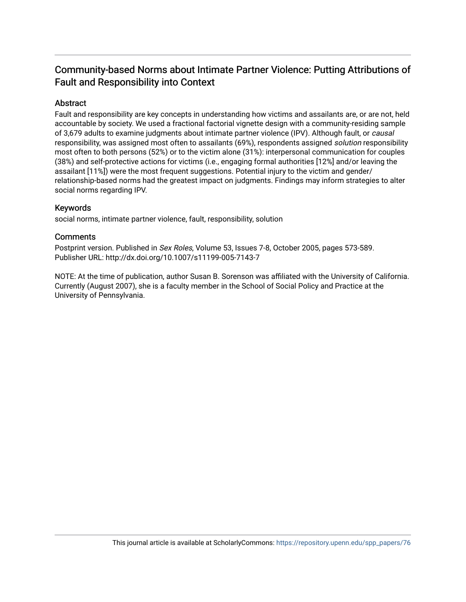## Community-based Norms about Intimate Partner Violence: Putting Attributions of Fault and Responsibility into Context

## Abstract

Fault and responsibility are key concepts in understanding how victims and assailants are, or are not, held accountable by society. We used a fractional factorial vignette design with a community-residing sample of 3,679 adults to examine judgments about intimate partner violence (IPV). Although fault, or causal responsibility, was assigned most often to assailants (69%), respondents assigned solution responsibility most often to both persons (52%) or to the victim alone (31%): interpersonal communication for couples (38%) and self-protective actions for victims (i.e., engaging formal authorities [12%] and/or leaving the assailant [11%]) were the most frequent suggestions. Potential injury to the victim and gender/ relationship-based norms had the greatest impact on judgments. Findings may inform strategies to alter social norms regarding IPV.

## Keywords

social norms, intimate partner violence, fault, responsibility, solution

## **Comments**

Postprint version. Published in Sex Roles, Volume 53, Issues 7-8, October 2005, pages 573-589. Publisher URL: http://dx.doi.org/10.1007/s11199-005-7143-7

NOTE: At the time of publication, author Susan B. Sorenson was affiliated with the University of California. Currently (August 2007), she is a faculty member in the School of Social Policy and Practice at the University of Pennsylvania.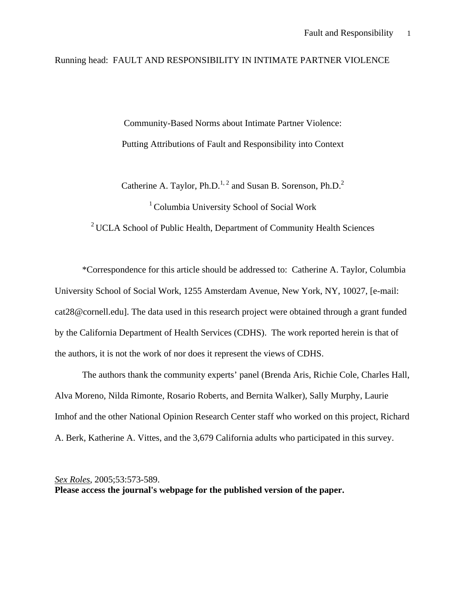## Running head: FAULT AND RESPONSIBILITY IN INTIMATE PARTNER VIOLENCE

Community-Based Norms about Intimate Partner Violence: Putting Attributions of Fault and Responsibility into Context

Catherine A. Taylor, Ph.D.<sup>1, 2</sup> and Susan B. Sorenson, Ph.D.<sup>2</sup>

 $1$  Columbia University School of Social Work

<sup>2</sup> UCLA School of Public Health, Department of Community Health Sciences

\*Correspondence for this article should be addressed to: Catherine A. Taylor, Columbia University School of Social Work, 1255 Amsterdam Avenue, New York, NY, 10027, [e-mail: cat28@cornell.edu]. The data used in this research project were obtained through a grant funded by the California Department of Health Services (CDHS). The work reported herein is that of the authors, it is not the work of nor does it represent the views of CDHS.

The authors thank the community experts' panel (Brenda Aris, Richie Cole, Charles Hall, Alva Moreno, Nilda Rimonte, Rosario Roberts, and Bernita Walker), Sally Murphy, Laurie Imhof and the other National Opinion Research Center staff who worked on this project, Richard A. Berk, Katherine A. Vittes, and the 3,679 California adults who participated in this survey.

*Sex Roles*, 2005;53:573-589. **Please access the journal's webpage for the published version of the paper.**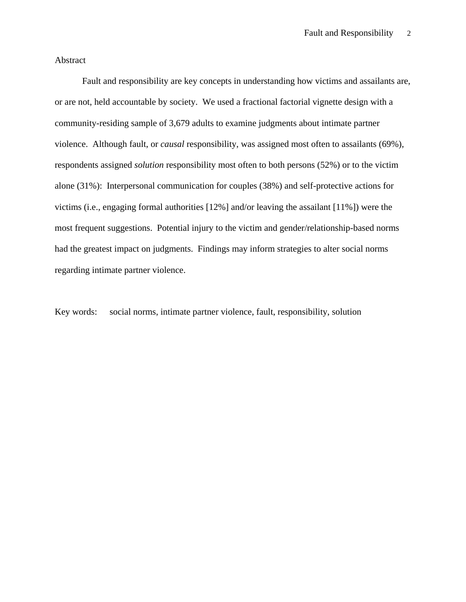## Abstract

Fault and responsibility are key concepts in understanding how victims and assailants are, or are not, held accountable by society. We used a fractional factorial vignette design with a community-residing sample of 3,679 adults to examine judgments about intimate partner violence. Although fault, or *causal* responsibility, was assigned most often to assailants (69%), respondents assigned *solution* responsibility most often to both persons (52%) or to the victim alone (31%): Interpersonal communication for couples (38%) and self-protective actions for victims (i.e., engaging formal authorities [12%] and/or leaving the assailant [11%]) were the most frequent suggestions. Potential injury to the victim and gender/relationship-based norms had the greatest impact on judgments. Findings may inform strategies to alter social norms regarding intimate partner violence.

Key words: social norms, intimate partner violence, fault, responsibility, solution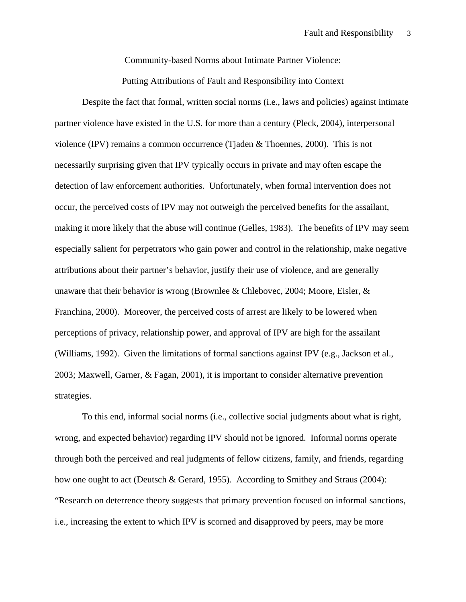Community-based Norms about Intimate Partner Violence:

Putting Attributions of Fault and Responsibility into Context

Despite the fact that formal, written social norms (i.e., laws and policies) against intimate partner violence have existed in the U.S. for more than a century (Pleck, 2004), interpersonal violence (IPV) remains a common occurrence (Tjaden & Thoennes, 2000). This is not necessarily surprising given that IPV typically occurs in private and may often escape the detection of law enforcement authorities. Unfortunately, when formal intervention does not occur, the perceived costs of IPV may not outweigh the perceived benefits for the assailant, making it more likely that the abuse will continue (Gelles, 1983). The benefits of IPV may seem especially salient for perpetrators who gain power and control in the relationship, make negative attributions about their partner's behavior, justify their use of violence, and are generally unaware that their behavior is wrong (Brownlee & Chlebovec, 2004; Moore, Eisler,  $\&$ Franchina, 2000). Moreover, the perceived costs of arrest are likely to be lowered when perceptions of privacy, relationship power, and approval of IPV are high for the assailant (Williams, 1992). Given the limitations of formal sanctions against IPV (e.g., Jackson et al., 2003; Maxwell, Garner, & Fagan, 2001), it is important to consider alternative prevention strategies.

To this end, informal social norms (i.e., collective social judgments about what is right, wrong, and expected behavior) regarding IPV should not be ignored. Informal norms operate through both the perceived and real judgments of fellow citizens, family, and friends, regarding how one ought to act (Deutsch & Gerard, 1955). According to Smithey and Straus (2004): "Research on deterrence theory suggests that primary prevention focused on informal sanctions, i.e., increasing the extent to which IPV is scorned and disapproved by peers, may be more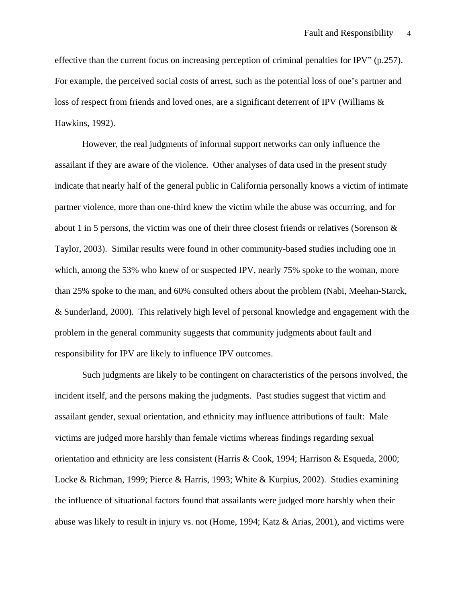effective than the current focus on increasing perception of criminal penalties for IPV" (p.257). For example, the perceived social costs of arrest, such as the potential loss of one's partner and loss of respect from friends and loved ones, are a significant deterrent of IPV (Williams & Hawkins, 1992).

However, the real judgments of informal support networks can only influence the assailant if they are aware of the violence. Other analyses of data used in the present study indicate that nearly half of the general public in California personally knows a victim of intimate partner violence, more than one-third knew the victim while the abuse was occurring, and for about 1 in 5 persons, the victim was one of their three closest friends or relatives (Sorenson & Taylor, 2003). Similar results were found in other community-based studies including one in which, among the 53% who knew of or suspected IPV, nearly 75% spoke to the woman, more than 25% spoke to the man, and 60% consulted others about the problem (Nabi, Meehan-Starck, & Sunderland, 2000). This relatively high level of personal knowledge and engagement with the problem in the general community suggests that community judgments about fault and responsibility for IPV are likely to influence IPV outcomes.

Such judgments are likely to be contingent on characteristics of the persons involved, the incident itself, and the persons making the judgments. Past studies suggest that victim and assailant gender, sexual orientation, and ethnicity may influence attributions of fault: Male victims are judged more harshly than female victims whereas findings regarding sexual orientation and ethnicity are less consistent (Harris & Cook, 1994; Harrison & Esqueda, 2000; Locke & Richman, 1999; Pierce & Harris, 1993; White & Kurpius, 2002). Studies examining the influence of situational factors found that assailants were judged more harshly when their abuse was likely to result in injury vs. not (Home, 1994; Katz & Arias, 2001), and victims were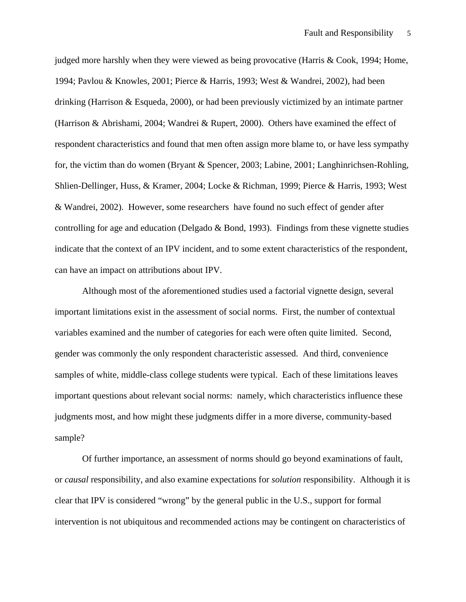judged more harshly when they were viewed as being provocative (Harris & Cook, 1994; Home, 1994; Pavlou & Knowles, 2001; Pierce & Harris, 1993; West & Wandrei, 2002), had been drinking (Harrison & Esqueda, 2000), or had been previously victimized by an intimate partner (Harrison & Abrishami, 2004; Wandrei & Rupert, 2000). Others have examined the effect of respondent characteristics and found that men often assign more blame to, or have less sympathy for, the victim than do women (Bryant & Spencer, 2003; Labine, 2001; Langhinrichsen-Rohling, Shlien-Dellinger, Huss, & Kramer, 2004; Locke & Richman, 1999; Pierce & Harris, 1993; West & Wandrei, 2002). However, some researchers have found no such effect of gender after controlling for age and education (Delgado & Bond, 1993). Findings from these vignette studies indicate that the context of an IPV incident, and to some extent characteristics of the respondent, can have an impact on attributions about IPV.

Although most of the aforementioned studies used a factorial vignette design, several important limitations exist in the assessment of social norms. First, the number of contextual variables examined and the number of categories for each were often quite limited. Second, gender was commonly the only respondent characteristic assessed. And third, convenience samples of white, middle-class college students were typical. Each of these limitations leaves important questions about relevant social norms: namely, which characteristics influence these judgments most, and how might these judgments differ in a more diverse, community-based sample?

Of further importance, an assessment of norms should go beyond examinations of fault, or *causal* responsibility, and also examine expectations for *solution* responsibility. Although it is clear that IPV is considered "wrong" by the general public in the U.S., support for formal intervention is not ubiquitous and recommended actions may be contingent on characteristics of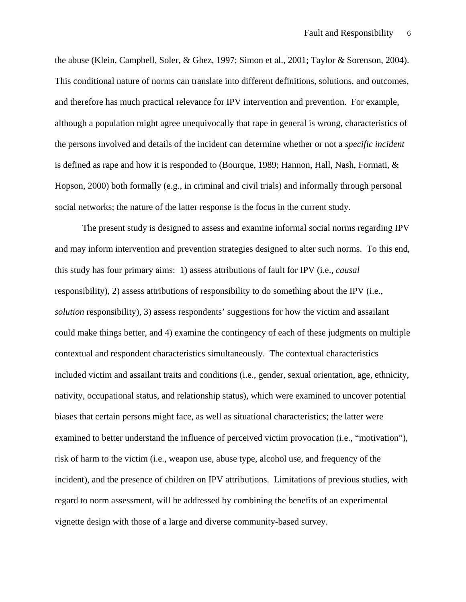the abuse (Klein, Campbell, Soler, & Ghez, 1997; Simon et al., 2001; Taylor & Sorenson, 2004). This conditional nature of norms can translate into different definitions, solutions, and outcomes, and therefore has much practical relevance for IPV intervention and prevention. For example, although a population might agree unequivocally that rape in general is wrong, characteristics of the persons involved and details of the incident can determine whether or not a *specific incident* is defined as rape and how it is responded to (Bourque, 1989; Hannon, Hall, Nash, Formati, & Hopson, 2000) both formally (e.g., in criminal and civil trials) and informally through personal social networks; the nature of the latter response is the focus in the current study.

The present study is designed to assess and examine informal social norms regarding IPV and may inform intervention and prevention strategies designed to alter such norms. To this end, this study has four primary aims: 1) assess attributions of fault for IPV (i.e., *causal* responsibility), 2) assess attributions of responsibility to do something about the IPV (i.e., *solution* responsibility), 3) assess respondents' suggestions for how the victim and assailant could make things better, and 4) examine the contingency of each of these judgments on multiple contextual and respondent characteristics simultaneously. The contextual characteristics included victim and assailant traits and conditions (i.e., gender, sexual orientation, age, ethnicity, nativity, occupational status, and relationship status), which were examined to uncover potential biases that certain persons might face, as well as situational characteristics; the latter were examined to better understand the influence of perceived victim provocation (i.e., "motivation"), risk of harm to the victim (i.e., weapon use, abuse type, alcohol use, and frequency of the incident), and the presence of children on IPV attributions. Limitations of previous studies, with regard to norm assessment, will be addressed by combining the benefits of an experimental vignette design with those of a large and diverse community-based survey.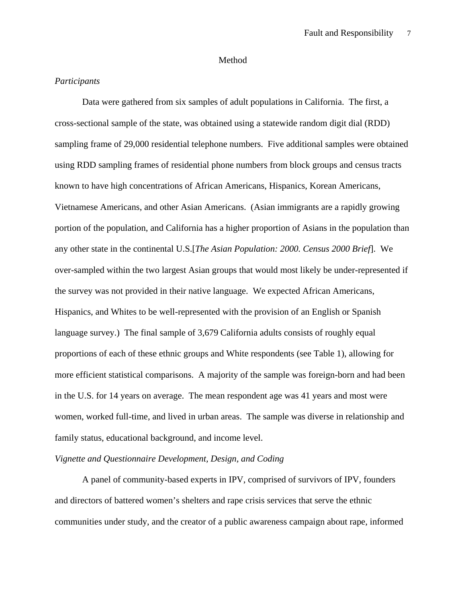## Method

## *Participants*

Data were gathered from six samples of adult populations in California. The first, a cross-sectional sample of the state, was obtained using a statewide random digit dial (RDD) sampling frame of 29,000 residential telephone numbers. Five additional samples were obtained using RDD sampling frames of residential phone numbers from block groups and census tracts known to have high concentrations of African Americans, Hispanics, Korean Americans, Vietnamese Americans, and other Asian Americans. (Asian immigrants are a rapidly growing portion of the population, and California has a higher proportion of Asians in the population than any other state in the continental U.S.[*The Asian Population: 2000. Census 2000 Brief*]. We over-sampled within the two largest Asian groups that would most likely be under-represented if the survey was not provided in their native language. We expected African Americans, Hispanics, and Whites to be well-represented with the provision of an English or Spanish language survey.) The final sample of 3,679 California adults consists of roughly equal proportions of each of these ethnic groups and White respondents (see Table 1), allowing for more efficient statistical comparisons. A majority of the sample was foreign-born and had been in the U.S. for 14 years on average. The mean respondent age was 41 years and most were women, worked full-time, and lived in urban areas. The sample was diverse in relationship and family status, educational background, and income level.

## *Vignette and Questionnaire Development, Design, and Coding*

A panel of community-based experts in IPV, comprised of survivors of IPV, founders and directors of battered women's shelters and rape crisis services that serve the ethnic communities under study, and the creator of a public awareness campaign about rape, informed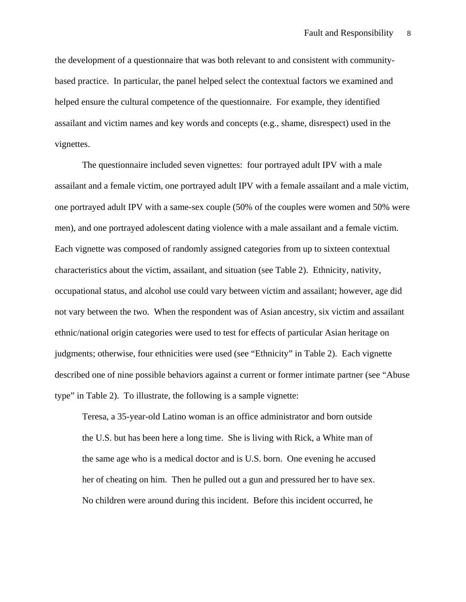the development of a questionnaire that was both relevant to and consistent with communitybased practice. In particular, the panel helped select the contextual factors we examined and helped ensure the cultural competence of the questionnaire. For example, they identified assailant and victim names and key words and concepts (e.g., shame, disrespect) used in the vignettes.

The questionnaire included seven vignettes: four portrayed adult IPV with a male assailant and a female victim, one portrayed adult IPV with a female assailant and a male victim, one portrayed adult IPV with a same-sex couple (50% of the couples were women and 50% were men), and one portrayed adolescent dating violence with a male assailant and a female victim. Each vignette was composed of randomly assigned categories from up to sixteen contextual characteristics about the victim, assailant, and situation (see Table 2). Ethnicity, nativity, occupational status, and alcohol use could vary between victim and assailant; however, age did not vary between the two. When the respondent was of Asian ancestry, six victim and assailant ethnic/national origin categories were used to test for effects of particular Asian heritage on judgments; otherwise, four ethnicities were used (see "Ethnicity" in Table 2). Each vignette described one of nine possible behaviors against a current or former intimate partner (see "Abuse type" in Table 2). To illustrate, the following is a sample vignette:

Teresa, a 35-year-old Latino woman is an office administrator and born outside the U.S. but has been here a long time. She is living with Rick, a White man of the same age who is a medical doctor and is U.S. born. One evening he accused her of cheating on him. Then he pulled out a gun and pressured her to have sex. No children were around during this incident. Before this incident occurred, he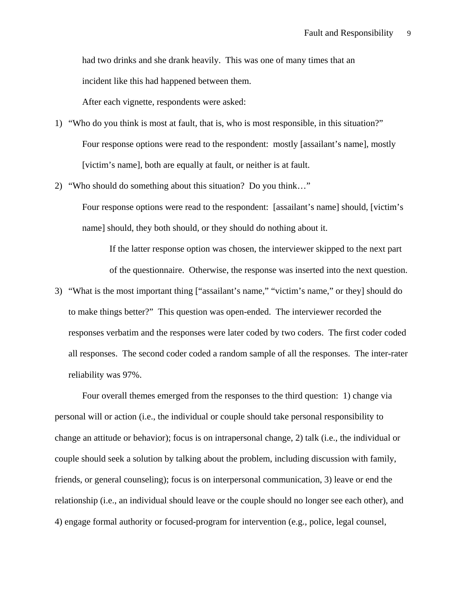had two drinks and she drank heavily. This was one of many times that an incident like this had happened between them.

After each vignette, respondents were asked:

1) "Who do you think is most at fault, that is, who is most responsible, in this situation?" Four response options were read to the respondent: mostly [assailant's name], mostly [victim's name], both are equally at fault, or neither is at fault.

2) "Who should do something about this situation? Do you think…"

Four response options were read to the respondent: [assailant's name] should, [victim's name] should, they both should, or they should do nothing about it.

If the latter response option was chosen, the interviewer skipped to the next part of the questionnaire. Otherwise, the response was inserted into the next question.

3) "What is the most important thing ["assailant's name," "victim's name," or they] should do to make things better?" This question was open-ended. The interviewer recorded the responses verbatim and the responses were later coded by two coders. The first coder coded all responses. The second coder coded a random sample of all the responses. The inter-rater reliability was 97%.

Four overall themes emerged from the responses to the third question: 1) change via personal will or action (i.e., the individual or couple should take personal responsibility to change an attitude or behavior); focus is on intrapersonal change, 2) talk (i.e., the individual or couple should seek a solution by talking about the problem, including discussion with family, friends, or general counseling); focus is on interpersonal communication, 3) leave or end the relationship (i.e., an individual should leave or the couple should no longer see each other), and 4) engage formal authority or focused-program for intervention (e.g., police, legal counsel,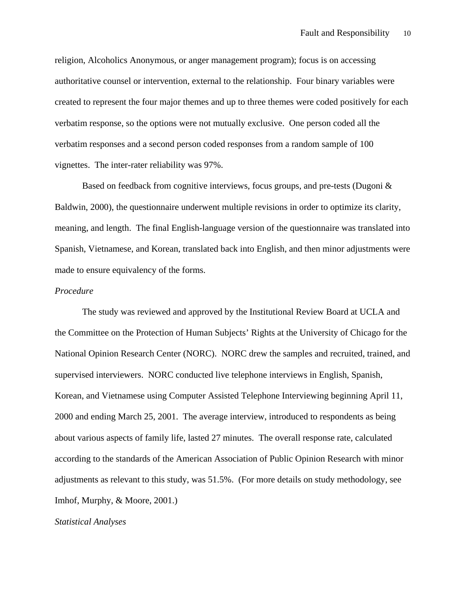religion, Alcoholics Anonymous, or anger management program); focus is on accessing authoritative counsel or intervention, external to the relationship. Four binary variables were created to represent the four major themes and up to three themes were coded positively for each verbatim response, so the options were not mutually exclusive. One person coded all the verbatim responses and a second person coded responses from a random sample of 100 vignettes. The inter-rater reliability was 97%.

Based on feedback from cognitive interviews, focus groups, and pre-tests (Dugoni & Baldwin, 2000), the questionnaire underwent multiple revisions in order to optimize its clarity, meaning, and length. The final English-language version of the questionnaire was translated into Spanish, Vietnamese, and Korean, translated back into English, and then minor adjustments were made to ensure equivalency of the forms.

## *Procedure*

The study was reviewed and approved by the Institutional Review Board at UCLA and the Committee on the Protection of Human Subjects' Rights at the University of Chicago for the National Opinion Research Center (NORC). NORC drew the samples and recruited, trained, and supervised interviewers. NORC conducted live telephone interviews in English, Spanish, Korean, and Vietnamese using Computer Assisted Telephone Interviewing beginning April 11, 2000 and ending March 25, 2001. The average interview, introduced to respondents as being about various aspects of family life, lasted 27 minutes. The overall response rate, calculated according to the standards of the American Association of Public Opinion Research with minor adjustments as relevant to this study, was 51.5%. (For more details on study methodology, see Imhof, Murphy, & Moore, 2001.)

#### *Statistical Analyses*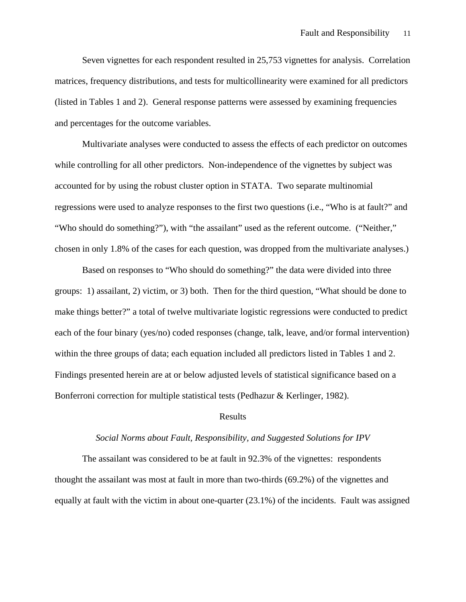Seven vignettes for each respondent resulted in 25,753 vignettes for analysis. Correlation matrices, frequency distributions, and tests for multicollinearity were examined for all predictors (listed in Tables 1 and 2). General response patterns were assessed by examining frequencies and percentages for the outcome variables.

Multivariate analyses were conducted to assess the effects of each predictor on outcomes while controlling for all other predictors. Non-independence of the vignettes by subject was accounted for by using the robust cluster option in STATA. Two separate multinomial regressions were used to analyze responses to the first two questions (i.e., "Who is at fault?" and "Who should do something?"), with "the assailant" used as the referent outcome. ("Neither," chosen in only 1.8% of the cases for each question, was dropped from the multivariate analyses.)

Based on responses to "Who should do something?" the data were divided into three groups: 1) assailant, 2) victim, or 3) both. Then for the third question, "What should be done to make things better?" a total of twelve multivariate logistic regressions were conducted to predict each of the four binary (yes/no) coded responses (change, talk, leave, and/or formal intervention) within the three groups of data; each equation included all predictors listed in Tables 1 and 2. Findings presented herein are at or below adjusted levels of statistical significance based on a Bonferroni correction for multiple statistical tests (Pedhazur & Kerlinger, 1982).

## Results

## *Social Norms about Fault, Responsibility, and Suggested Solutions for IPV*

The assailant was considered to be at fault in 92.3% of the vignettes: respondents thought the assailant was most at fault in more than two-thirds (69.2%) of the vignettes and equally at fault with the victim in about one-quarter (23.1%) of the incidents. Fault was assigned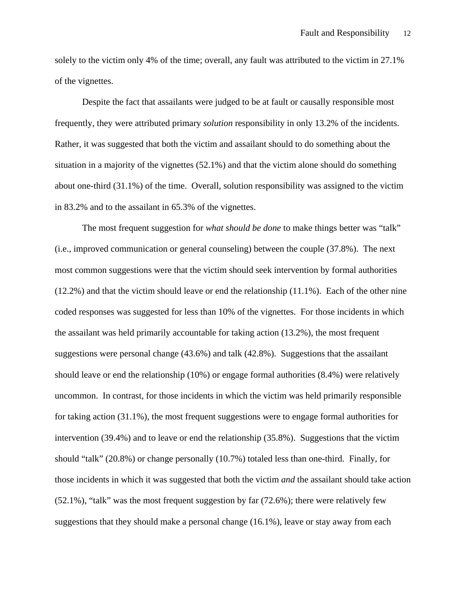solely to the victim only 4% of the time; overall, any fault was attributed to the victim in 27.1% of the vignettes.

Despite the fact that assailants were judged to be at fault or causally responsible most frequently, they were attributed primary *solution* responsibility in only 13.2% of the incidents. Rather, it was suggested that both the victim and assailant should to do something about the situation in a majority of the vignettes (52.1%) and that the victim alone should do something about one-third (31.1%) of the time. Overall, solution responsibility was assigned to the victim in 83.2% and to the assailant in 65.3% of the vignettes.

The most frequent suggestion for *what should be done* to make things better was "talk" (i.e., improved communication or general counseling) between the couple (37.8%). The next most common suggestions were that the victim should seek intervention by formal authorities (12.2%) and that the victim should leave or end the relationship (11.1%). Each of the other nine coded responses was suggested for less than 10% of the vignettes. For those incidents in which the assailant was held primarily accountable for taking action (13.2%), the most frequent suggestions were personal change (43.6%) and talk (42.8%). Suggestions that the assailant should leave or end the relationship (10%) or engage formal authorities (8.4%) were relatively uncommon. In contrast, for those incidents in which the victim was held primarily responsible for taking action (31.1%), the most frequent suggestions were to engage formal authorities for intervention (39.4%) and to leave or end the relationship (35.8%). Suggestions that the victim should "talk" (20.8%) or change personally (10.7%) totaled less than one-third. Finally, for those incidents in which it was suggested that both the victim *and* the assailant should take action (52.1%), "talk" was the most frequent suggestion by far (72.6%); there were relatively few suggestions that they should make a personal change (16.1%), leave or stay away from each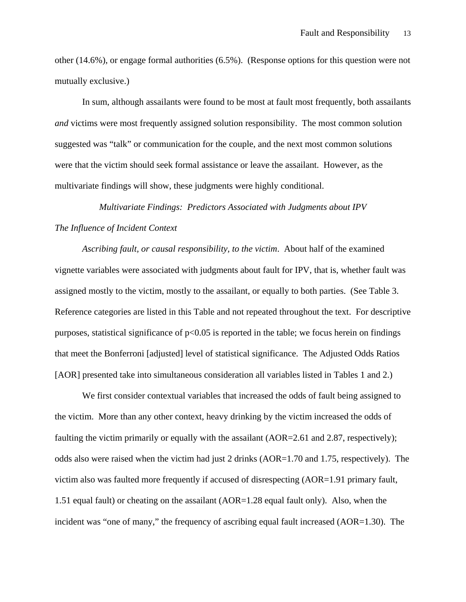other (14.6%), or engage formal authorities (6.5%). (Response options for this question were not mutually exclusive.)

In sum, although assailants were found to be most at fault most frequently, both assailants *and* victims were most frequently assigned solution responsibility. The most common solution suggested was "talk" or communication for the couple, and the next most common solutions were that the victim should seek formal assistance or leave the assailant. However, as the multivariate findings will show, these judgments were highly conditional.

## *Multivariate Findings: Predictors Associated with Judgments about IPV The Influence of Incident Context*

*Ascribing fault, or causal responsibility, to the victim*. About half of the examined vignette variables were associated with judgments about fault for IPV, that is, whether fault was assigned mostly to the victim, mostly to the assailant, or equally to both parties. (See Table 3. Reference categories are listed in this Table and not repeated throughout the text. For descriptive purposes, statistical significance of  $p<0.05$  is reported in the table; we focus herein on findings that meet the Bonferroni [adjusted] level of statistical significance. The Adjusted Odds Ratios [AOR] presented take into simultaneous consideration all variables listed in Tables 1 and 2.)

We first consider contextual variables that increased the odds of fault being assigned to the victim. More than any other context, heavy drinking by the victim increased the odds of faulting the victim primarily or equally with the assailant (AOR=2.61 and 2.87, respectively); odds also were raised when the victim had just 2 drinks (AOR=1.70 and 1.75, respectively). The victim also was faulted more frequently if accused of disrespecting (AOR=1.91 primary fault, 1.51 equal fault) or cheating on the assailant (AOR=1.28 equal fault only). Also, when the incident was "one of many," the frequency of ascribing equal fault increased (AOR=1.30). The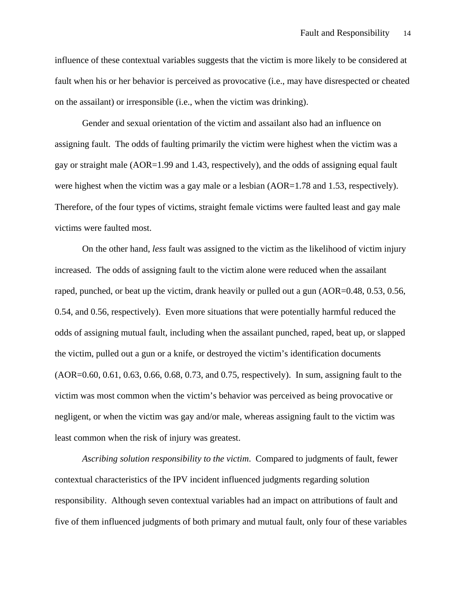influence of these contextual variables suggests that the victim is more likely to be considered at fault when his or her behavior is perceived as provocative (i.e., may have disrespected or cheated on the assailant) or irresponsible (i.e., when the victim was drinking).

 Gender and sexual orientation of the victim and assailant also had an influence on assigning fault. The odds of faulting primarily the victim were highest when the victim was a gay or straight male (AOR=1.99 and 1.43, respectively), and the odds of assigning equal fault were highest when the victim was a gay male or a lesbian (AOR=1.78 and 1.53, respectively). Therefore, of the four types of victims, straight female victims were faulted least and gay male victims were faulted most.

 On the other hand, *less* fault was assigned to the victim as the likelihood of victim injury increased. The odds of assigning fault to the victim alone were reduced when the assailant raped, punched, or beat up the victim, drank heavily or pulled out a gun (AOR=0.48, 0.53, 0.56, 0.54, and 0.56, respectively). Even more situations that were potentially harmful reduced the odds of assigning mutual fault, including when the assailant punched, raped, beat up, or slapped the victim, pulled out a gun or a knife, or destroyed the victim's identification documents (AOR=0.60, 0.61, 0.63, 0.66, 0.68, 0.73, and 0.75, respectively). In sum, assigning fault to the victim was most common when the victim's behavior was perceived as being provocative or negligent, or when the victim was gay and/or male, whereas assigning fault to the victim was least common when the risk of injury was greatest.

*Ascribing solution responsibility to the victim*. Compared to judgments of fault, fewer contextual characteristics of the IPV incident influenced judgments regarding solution responsibility. Although seven contextual variables had an impact on attributions of fault and five of them influenced judgments of both primary and mutual fault, only four of these variables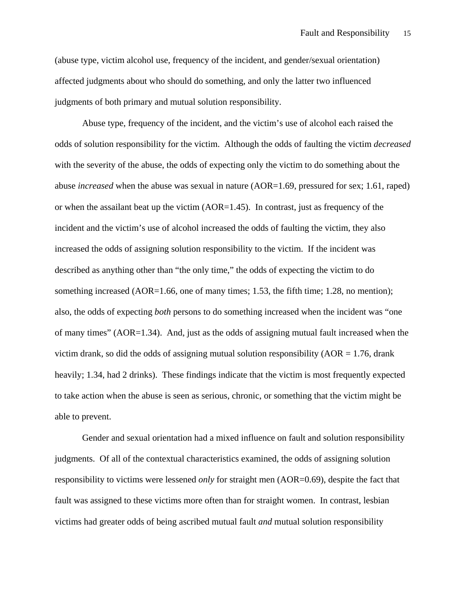(abuse type, victim alcohol use, frequency of the incident, and gender/sexual orientation) affected judgments about who should do something, and only the latter two influenced judgments of both primary and mutual solution responsibility.

 Abuse type, frequency of the incident, and the victim's use of alcohol each raised the odds of solution responsibility for the victim. Although the odds of faulting the victim *decreased* with the severity of the abuse, the odds of expecting only the victim to do something about the abuse *increased* when the abuse was sexual in nature (AOR=1.69, pressured for sex; 1.61, raped) or when the assailant beat up the victim (AOR=1.45). In contrast, just as frequency of the incident and the victim's use of alcohol increased the odds of faulting the victim, they also increased the odds of assigning solution responsibility to the victim. If the incident was described as anything other than "the only time," the odds of expecting the victim to do something increased (AOR=1.66, one of many times; 1.53, the fifth time; 1.28, no mention); also, the odds of expecting *both* persons to do something increased when the incident was "one of many times" (AOR=1.34). And, just as the odds of assigning mutual fault increased when the victim drank, so did the odds of assigning mutual solution responsibility  $(AOR = 1.76$ , drank heavily; 1.34, had 2 drinks). These findings indicate that the victim is most frequently expected to take action when the abuse is seen as serious, chronic, or something that the victim might be able to prevent.

Gender and sexual orientation had a mixed influence on fault and solution responsibility judgments. Of all of the contextual characteristics examined, the odds of assigning solution responsibility to victims were lessened *only* for straight men (AOR=0.69), despite the fact that fault was assigned to these victims more often than for straight women. In contrast, lesbian victims had greater odds of being ascribed mutual fault *and* mutual solution responsibility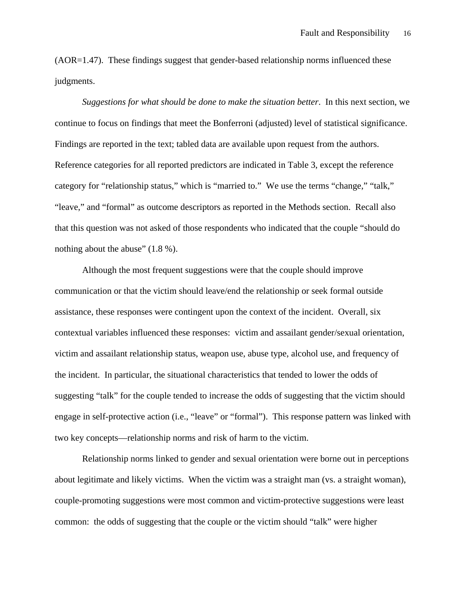(AOR=1.47). These findings suggest that gender-based relationship norms influenced these judgments.

*Suggestions for what should be done to make the situation better*. In this next section, we continue to focus on findings that meet the Bonferroni (adjusted) level of statistical significance. Findings are reported in the text; tabled data are available upon request from the authors. Reference categories for all reported predictors are indicated in Table 3, except the reference category for "relationship status," which is "married to." We use the terms "change," "talk," "leave," and "formal" as outcome descriptors as reported in the Methods section. Recall also that this question was not asked of those respondents who indicated that the couple "should do nothing about the abuse"  $(1.8\%)$ .

Although the most frequent suggestions were that the couple should improve communication or that the victim should leave/end the relationship or seek formal outside assistance, these responses were contingent upon the context of the incident. Overall, six contextual variables influenced these responses: victim and assailant gender/sexual orientation, victim and assailant relationship status, weapon use, abuse type, alcohol use, and frequency of the incident. In particular, the situational characteristics that tended to lower the odds of suggesting "talk" for the couple tended to increase the odds of suggesting that the victim should engage in self-protective action (i.e., "leave" or "formal"). This response pattern was linked with two key concepts—relationship norms and risk of harm to the victim.

Relationship norms linked to gender and sexual orientation were borne out in perceptions about legitimate and likely victims. When the victim was a straight man (vs. a straight woman), couple-promoting suggestions were most common and victim-protective suggestions were least common: the odds of suggesting that the couple or the victim should "talk" were higher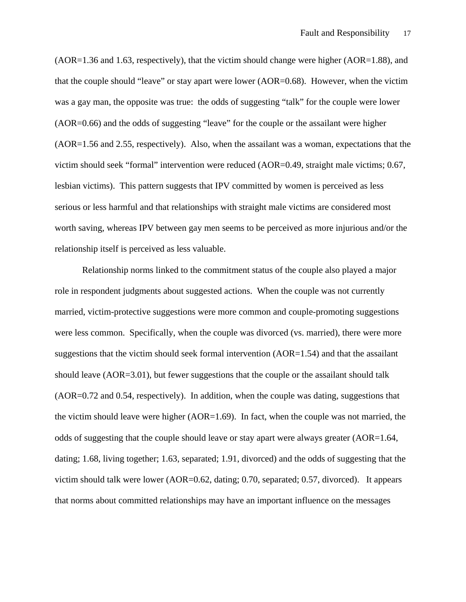$(AOR=1.36$  and 1.63, respectively), that the victim should change were higher  $(AOR=1.88)$ , and that the couple should "leave" or stay apart were lower (AOR=0.68). However, when the victim was a gay man, the opposite was true: the odds of suggesting "talk" for the couple were lower (AOR=0.66) and the odds of suggesting "leave" for the couple or the assailant were higher (AOR=1.56 and 2.55, respectively). Also, when the assailant was a woman, expectations that the victim should seek "formal" intervention were reduced (AOR=0.49, straight male victims; 0.67, lesbian victims). This pattern suggests that IPV committed by women is perceived as less serious or less harmful and that relationships with straight male victims are considered most worth saving, whereas IPV between gay men seems to be perceived as more injurious and/or the relationship itself is perceived as less valuable.

Relationship norms linked to the commitment status of the couple also played a major role in respondent judgments about suggested actions. When the couple was not currently married, victim-protective suggestions were more common and couple-promoting suggestions were less common. Specifically, when the couple was divorced (vs. married), there were more suggestions that the victim should seek formal intervention  $(AOR=1.54)$  and that the assailant should leave (AOR=3.01), but fewer suggestions that the couple or the assailant should talk (AOR=0.72 and 0.54, respectively). In addition, when the couple was dating, suggestions that the victim should leave were higher (AOR=1.69). In fact, when the couple was not married, the odds of suggesting that the couple should leave or stay apart were always greater (AOR=1.64, dating; 1.68, living together; 1.63, separated; 1.91, divorced) and the odds of suggesting that the victim should talk were lower (AOR=0.62, dating; 0.70, separated; 0.57, divorced). It appears that norms about committed relationships may have an important influence on the messages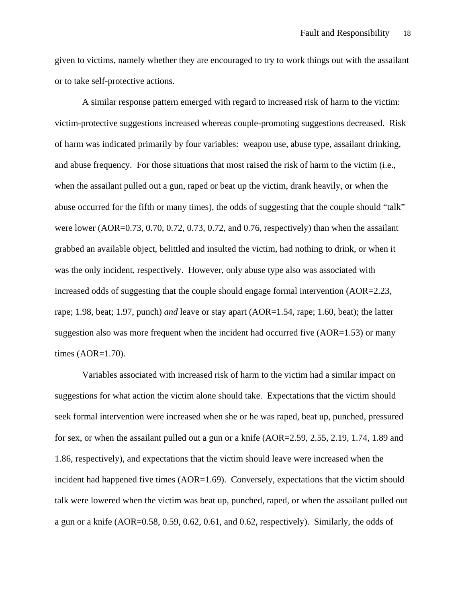given to victims, namely whether they are encouraged to try to work things out with the assailant or to take self-protective actions.

 A similar response pattern emerged with regard to increased risk of harm to the victim: victim-protective suggestions increased whereas couple-promoting suggestions decreased. Risk of harm was indicated primarily by four variables: weapon use, abuse type, assailant drinking, and abuse frequency. For those situations that most raised the risk of harm to the victim (i.e., when the assailant pulled out a gun, raped or beat up the victim, drank heavily, or when the abuse occurred for the fifth or many times), the odds of suggesting that the couple should "talk" were lower (AOR=0.73, 0.70, 0.72, 0.73, 0.72, and 0.76, respectively) than when the assailant grabbed an available object, belittled and insulted the victim, had nothing to drink, or when it was the only incident, respectively. However, only abuse type also was associated with increased odds of suggesting that the couple should engage formal intervention (AOR=2.23, rape; 1.98, beat; 1.97, punch) *and* leave or stay apart (AOR=1.54, rape; 1.60, beat); the latter suggestion also was more frequent when the incident had occurred five  $(AOR=1.53)$  or many times (AOR=1.70).

 Variables associated with increased risk of harm to the victim had a similar impact on suggestions for what action the victim alone should take. Expectations that the victim should seek formal intervention were increased when she or he was raped, beat up, punched, pressured for sex, or when the assailant pulled out a gun or a knife (AOR=2.59, 2.55, 2.19, 1.74, 1.89 and 1.86, respectively), and expectations that the victim should leave were increased when the incident had happened five times (AOR=1.69). Conversely, expectations that the victim should talk were lowered when the victim was beat up, punched, raped, or when the assailant pulled out a gun or a knife (AOR=0.58, 0.59, 0.62, 0.61, and 0.62, respectively). Similarly, the odds of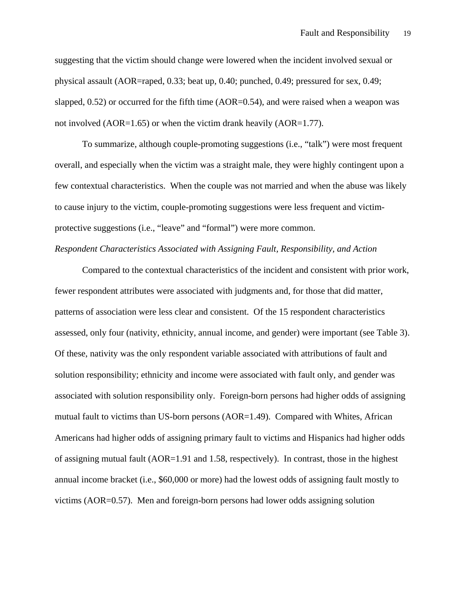suggesting that the victim should change were lowered when the incident involved sexual or physical assault (AOR=raped, 0.33; beat up, 0.40; punched, 0.49; pressured for sex, 0.49; slapped, 0.52) or occurred for the fifth time (AOR=0.54), and were raised when a weapon was not involved (AOR=1.65) or when the victim drank heavily (AOR=1.77).

 To summarize, although couple-promoting suggestions (i.e., "talk") were most frequent overall, and especially when the victim was a straight male, they were highly contingent upon a few contextual characteristics. When the couple was not married and when the abuse was likely to cause injury to the victim, couple-promoting suggestions were less frequent and victimprotective suggestions (i.e., "leave" and "formal") were more common.

## *Respondent Characteristics Associated with Assigning Fault, Responsibility, and Action*

 Compared to the contextual characteristics of the incident and consistent with prior work, fewer respondent attributes were associated with judgments and, for those that did matter, patterns of association were less clear and consistent. Of the 15 respondent characteristics assessed, only four (nativity, ethnicity, annual income, and gender) were important (see Table 3). Of these, nativity was the only respondent variable associated with attributions of fault and solution responsibility; ethnicity and income were associated with fault only, and gender was associated with solution responsibility only. Foreign-born persons had higher odds of assigning mutual fault to victims than US-born persons (AOR=1.49). Compared with Whites, African Americans had higher odds of assigning primary fault to victims and Hispanics had higher odds of assigning mutual fault  $(AOR=1.91$  and 1.58, respectively). In contrast, those in the highest annual income bracket (i.e., \$60,000 or more) had the lowest odds of assigning fault mostly to victims (AOR=0.57). Men and foreign-born persons had lower odds assigning solution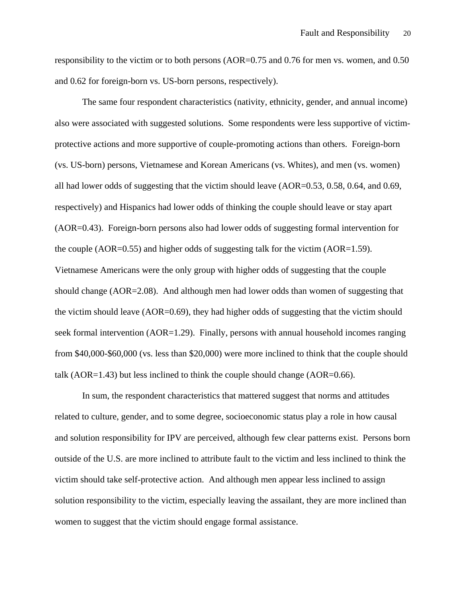responsibility to the victim or to both persons (AOR=0.75 and 0.76 for men vs. women, and 0.50 and 0.62 for foreign-born vs. US-born persons, respectively).

 The same four respondent characteristics (nativity, ethnicity, gender, and annual income) also were associated with suggested solutions. Some respondents were less supportive of victimprotective actions and more supportive of couple-promoting actions than others. Foreign-born (vs. US-born) persons, Vietnamese and Korean Americans (vs. Whites), and men (vs. women) all had lower odds of suggesting that the victim should leave (AOR=0.53, 0.58, 0.64, and 0.69, respectively) and Hispanics had lower odds of thinking the couple should leave or stay apart (AOR=0.43). Foreign-born persons also had lower odds of suggesting formal intervention for the couple (AOR=0.55) and higher odds of suggesting talk for the victim (AOR=1.59). Vietnamese Americans were the only group with higher odds of suggesting that the couple should change (AOR=2.08). And although men had lower odds than women of suggesting that the victim should leave (AOR=0.69), they had higher odds of suggesting that the victim should seek formal intervention (AOR=1.29). Finally, persons with annual household incomes ranging from \$40,000-\$60,000 (vs. less than \$20,000) were more inclined to think that the couple should talk (AOR=1.43) but less inclined to think the couple should change (AOR=0.66).

 In sum, the respondent characteristics that mattered suggest that norms and attitudes related to culture, gender, and to some degree, socioeconomic status play a role in how causal and solution responsibility for IPV are perceived, although few clear patterns exist. Persons born outside of the U.S. are more inclined to attribute fault to the victim and less inclined to think the victim should take self-protective action. And although men appear less inclined to assign solution responsibility to the victim, especially leaving the assailant, they are more inclined than women to suggest that the victim should engage formal assistance.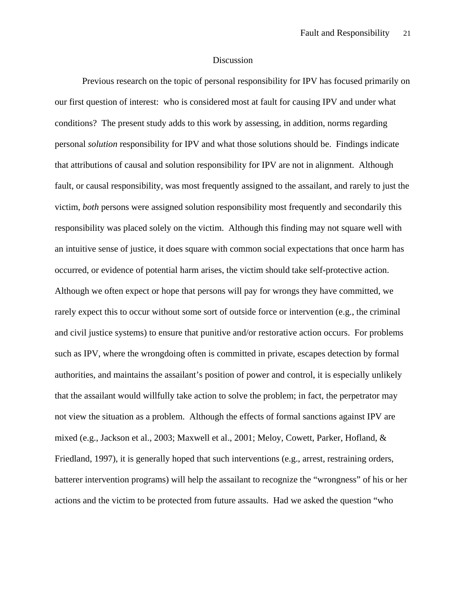## Discussion

 Previous research on the topic of personal responsibility for IPV has focused primarily on our first question of interest: who is considered most at fault for causing IPV and under what conditions? The present study adds to this work by assessing, in addition, norms regarding personal *solution* responsibility for IPV and what those solutions should be. Findings indicate that attributions of causal and solution responsibility for IPV are not in alignment. Although fault, or causal responsibility, was most frequently assigned to the assailant, and rarely to just the victim, *both* persons were assigned solution responsibility most frequently and secondarily this responsibility was placed solely on the victim. Although this finding may not square well with an intuitive sense of justice, it does square with common social expectations that once harm has occurred, or evidence of potential harm arises, the victim should take self-protective action. Although we often expect or hope that persons will pay for wrongs they have committed, we rarely expect this to occur without some sort of outside force or intervention (e.g., the criminal and civil justice systems) to ensure that punitive and/or restorative action occurs. For problems such as IPV, where the wrongdoing often is committed in private, escapes detection by formal authorities, and maintains the assailant's position of power and control, it is especially unlikely that the assailant would willfully take action to solve the problem; in fact, the perpetrator may not view the situation as a problem. Although the effects of formal sanctions against IPV are mixed (e.g., Jackson et al., 2003; Maxwell et al., 2001; Meloy, Cowett, Parker, Hofland, & Friedland, 1997), it is generally hoped that such interventions (e.g., arrest, restraining orders, batterer intervention programs) will help the assailant to recognize the "wrongness" of his or her actions and the victim to be protected from future assaults. Had we asked the question "who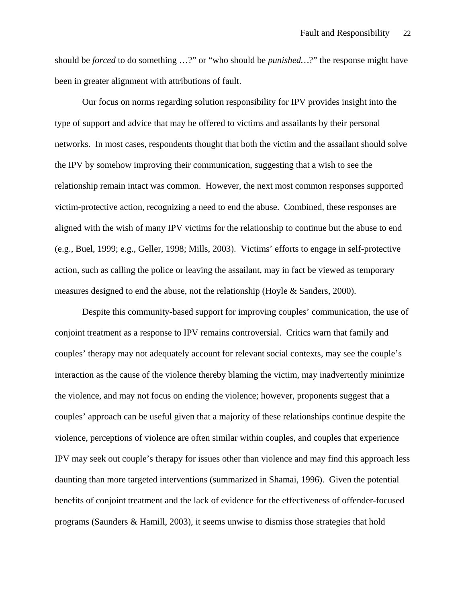should be *forced* to do something …?" or "who should be *punished…*?" the response might have been in greater alignment with attributions of fault.

Our focus on norms regarding solution responsibility for IPV provides insight into the type of support and advice that may be offered to victims and assailants by their personal networks. In most cases, respondents thought that both the victim and the assailant should solve the IPV by somehow improving their communication, suggesting that a wish to see the relationship remain intact was common. However, the next most common responses supported victim-protective action, recognizing a need to end the abuse. Combined, these responses are aligned with the wish of many IPV victims for the relationship to continue but the abuse to end (e.g., Buel, 1999; e.g., Geller, 1998; Mills, 2003). Victims' efforts to engage in self-protective action, such as calling the police or leaving the assailant, may in fact be viewed as temporary measures designed to end the abuse, not the relationship (Hoyle  $\&$  Sanders, 2000).

Despite this community-based support for improving couples' communication, the use of conjoint treatment as a response to IPV remains controversial. Critics warn that family and couples' therapy may not adequately account for relevant social contexts, may see the couple's interaction as the cause of the violence thereby blaming the victim, may inadvertently minimize the violence, and may not focus on ending the violence; however, proponents suggest that a couples' approach can be useful given that a majority of these relationships continue despite the violence, perceptions of violence are often similar within couples, and couples that experience IPV may seek out couple's therapy for issues other than violence and may find this approach less daunting than more targeted interventions (summarized in Shamai, 1996). Given the potential benefits of conjoint treatment and the lack of evidence for the effectiveness of offender-focused programs (Saunders & Hamill, 2003), it seems unwise to dismiss those strategies that hold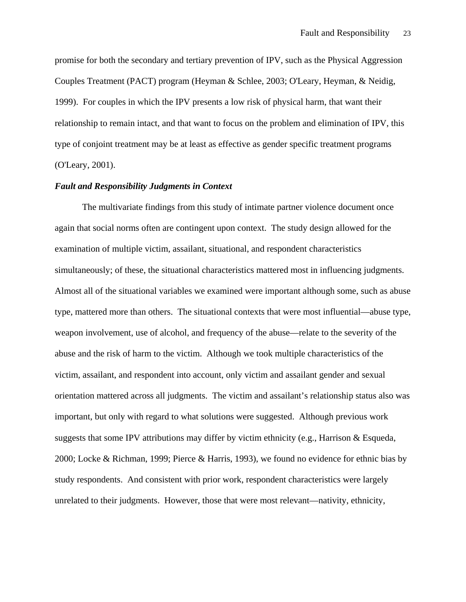promise for both the secondary and tertiary prevention of IPV, such as the Physical Aggression Couples Treatment (PACT) program (Heyman & Schlee, 2003; O'Leary, Heyman, & Neidig, 1999). For couples in which the IPV presents a low risk of physical harm, that want their relationship to remain intact, and that want to focus on the problem and elimination of IPV, this type of conjoint treatment may be at least as effective as gender specific treatment programs (O'Leary, 2001).

## *Fault and Responsibility Judgments in Context*

The multivariate findings from this study of intimate partner violence document once again that social norms often are contingent upon context. The study design allowed for the examination of multiple victim, assailant, situational, and respondent characteristics simultaneously; of these, the situational characteristics mattered most in influencing judgments. Almost all of the situational variables we examined were important although some, such as abuse type, mattered more than others. The situational contexts that were most influential—abuse type, weapon involvement, use of alcohol, and frequency of the abuse—relate to the severity of the abuse and the risk of harm to the victim. Although we took multiple characteristics of the victim, assailant, and respondent into account, only victim and assailant gender and sexual orientation mattered across all judgments. The victim and assailant's relationship status also was important, but only with regard to what solutions were suggested. Although previous work suggests that some IPV attributions may differ by victim ethnicity (e.g., Harrison & Esqueda, 2000; Locke & Richman, 1999; Pierce & Harris, 1993), we found no evidence for ethnic bias by study respondents. And consistent with prior work, respondent characteristics were largely unrelated to their judgments. However, those that were most relevant—nativity, ethnicity,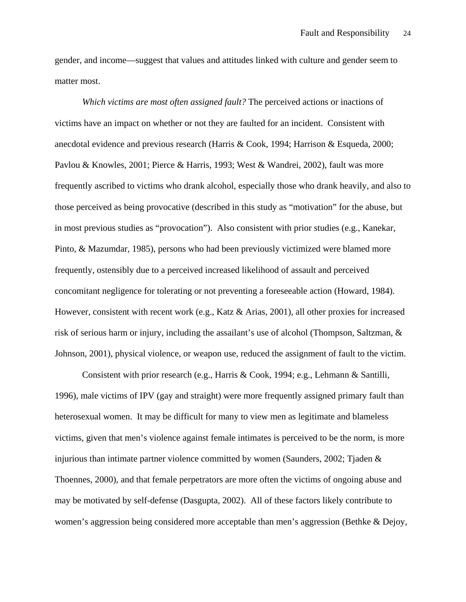gender, and income—suggest that values and attitudes linked with culture and gender seem to matter most.

*Which victims are most often assigned fault?* The perceived actions or inactions of victims have an impact on whether or not they are faulted for an incident. Consistent with anecdotal evidence and previous research (Harris & Cook, 1994; Harrison & Esqueda, 2000; Pavlou & Knowles, 2001; Pierce & Harris, 1993; West & Wandrei, 2002), fault was more frequently ascribed to victims who drank alcohol, especially those who drank heavily, and also to those perceived as being provocative (described in this study as "motivation" for the abuse, but in most previous studies as "provocation"). Also consistent with prior studies (e.g., Kanekar, Pinto, & Mazumdar, 1985), persons who had been previously victimized were blamed more frequently, ostensibly due to a perceived increased likelihood of assault and perceived concomitant negligence for tolerating or not preventing a foreseeable action (Howard, 1984). However, consistent with recent work (e.g., Katz & Arias, 2001), all other proxies for increased risk of serious harm or injury, including the assailant's use of alcohol (Thompson, Saltzman, & Johnson, 2001), physical violence, or weapon use, reduced the assignment of fault to the victim.

Consistent with prior research (e.g., Harris & Cook, 1994; e.g., Lehmann & Santilli, 1996), male victims of IPV (gay and straight) were more frequently assigned primary fault than heterosexual women. It may be difficult for many to view men as legitimate and blameless victims, given that men's violence against female intimates is perceived to be the norm, is more injurious than intimate partner violence committed by women (Saunders, 2002; Tjaden  $\&$ Thoennes, 2000), and that female perpetrators are more often the victims of ongoing abuse and may be motivated by self-defense (Dasgupta, 2002). All of these factors likely contribute to women's aggression being considered more acceptable than men's aggression (Bethke & Dejoy,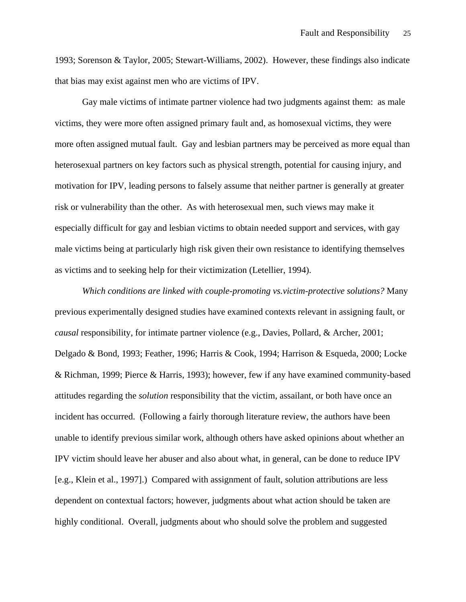1993; Sorenson & Taylor, 2005; Stewart-Williams, 2002). However, these findings also indicate that bias may exist against men who are victims of IPV.

Gay male victims of intimate partner violence had two judgments against them: as male victims, they were more often assigned primary fault and, as homosexual victims, they were more often assigned mutual fault. Gay and lesbian partners may be perceived as more equal than heterosexual partners on key factors such as physical strength, potential for causing injury, and motivation for IPV, leading persons to falsely assume that neither partner is generally at greater risk or vulnerability than the other. As with heterosexual men, such views may make it especially difficult for gay and lesbian victims to obtain needed support and services, with gay male victims being at particularly high risk given their own resistance to identifying themselves as victims and to seeking help for their victimization (Letellier, 1994).

*Which conditions are linked with couple-promoting vs.victim-protective solutions?* Many previous experimentally designed studies have examined contexts relevant in assigning fault, or *causal* responsibility, for intimate partner violence (e.g., Davies, Pollard, & Archer, 2001; Delgado & Bond, 1993; Feather, 1996; Harris & Cook, 1994; Harrison & Esqueda, 2000; Locke & Richman, 1999; Pierce & Harris, 1993); however, few if any have examined community-based attitudes regarding the *solution* responsibility that the victim, assailant, or both have once an incident has occurred. (Following a fairly thorough literature review, the authors have been unable to identify previous similar work, although others have asked opinions about whether an IPV victim should leave her abuser and also about what, in general, can be done to reduce IPV [e.g., Klein et al., 1997].) Compared with assignment of fault, solution attributions are less dependent on contextual factors; however, judgments about what action should be taken are highly conditional. Overall, judgments about who should solve the problem and suggested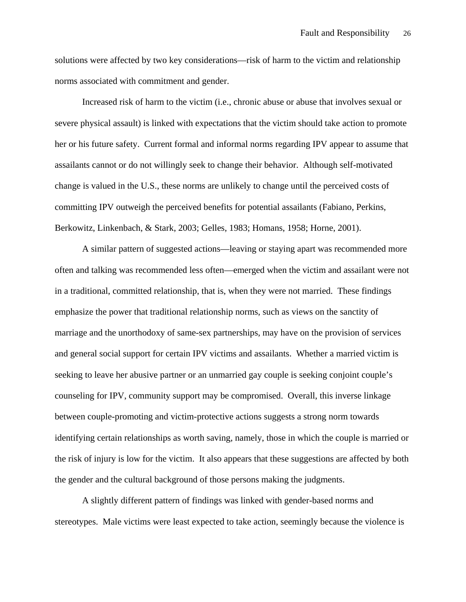solutions were affected by two key considerations—risk of harm to the victim and relationship norms associated with commitment and gender.

 Increased risk of harm to the victim (i.e., chronic abuse or abuse that involves sexual or severe physical assault) is linked with expectations that the victim should take action to promote her or his future safety. Current formal and informal norms regarding IPV appear to assume that assailants cannot or do not willingly seek to change their behavior. Although self-motivated change is valued in the U.S., these norms are unlikely to change until the perceived costs of committing IPV outweigh the perceived benefits for potential assailants (Fabiano, Perkins, Berkowitz, Linkenbach, & Stark, 2003; Gelles, 1983; Homans, 1958; Horne, 2001).

A similar pattern of suggested actions—leaving or staying apart was recommended more often and talking was recommended less often—emerged when the victim and assailant were not in a traditional, committed relationship, that is, when they were not married. These findings emphasize the power that traditional relationship norms, such as views on the sanctity of marriage and the unorthodoxy of same-sex partnerships, may have on the provision of services and general social support for certain IPV victims and assailants. Whether a married victim is seeking to leave her abusive partner or an unmarried gay couple is seeking conjoint couple's counseling for IPV, community support may be compromised. Overall, this inverse linkage between couple-promoting and victim-protective actions suggests a strong norm towards identifying certain relationships as worth saving, namely, those in which the couple is married or the risk of injury is low for the victim. It also appears that these suggestions are affected by both the gender and the cultural background of those persons making the judgments.

A slightly different pattern of findings was linked with gender-based norms and stereotypes. Male victims were least expected to take action, seemingly because the violence is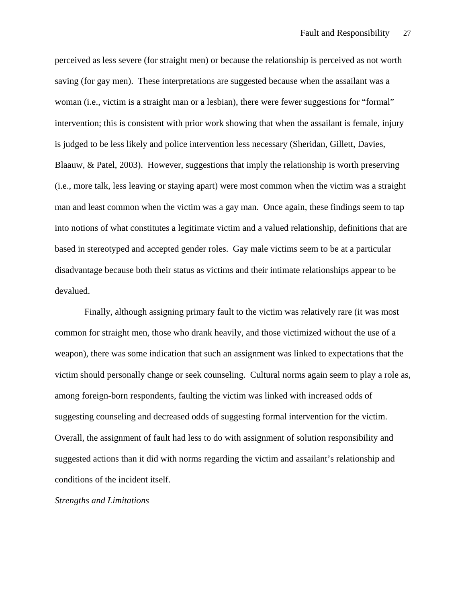perceived as less severe (for straight men) or because the relationship is perceived as not worth saving (for gay men). These interpretations are suggested because when the assailant was a woman (i.e., victim is a straight man or a lesbian), there were fewer suggestions for "formal" intervention; this is consistent with prior work showing that when the assailant is female, injury is judged to be less likely and police intervention less necessary (Sheridan, Gillett, Davies, Blaauw, & Patel, 2003). However, suggestions that imply the relationship is worth preserving (i.e., more talk, less leaving or staying apart) were most common when the victim was a straight man and least common when the victim was a gay man. Once again, these findings seem to tap into notions of what constitutes a legitimate victim and a valued relationship, definitions that are based in stereotyped and accepted gender roles. Gay male victims seem to be at a particular disadvantage because both their status as victims and their intimate relationships appear to be devalued.

 Finally, although assigning primary fault to the victim was relatively rare (it was most common for straight men, those who drank heavily, and those victimized without the use of a weapon), there was some indication that such an assignment was linked to expectations that the victim should personally change or seek counseling. Cultural norms again seem to play a role as, among foreign-born respondents, faulting the victim was linked with increased odds of suggesting counseling and decreased odds of suggesting formal intervention for the victim. Overall, the assignment of fault had less to do with assignment of solution responsibility and suggested actions than it did with norms regarding the victim and assailant's relationship and conditions of the incident itself.

## *Strengths and Limitations*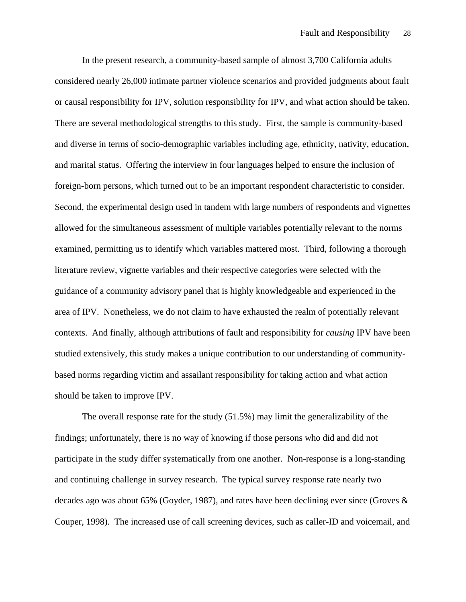In the present research, a community-based sample of almost 3,700 California adults considered nearly 26,000 intimate partner violence scenarios and provided judgments about fault or causal responsibility for IPV, solution responsibility for IPV, and what action should be taken. There are several methodological strengths to this study. First, the sample is community-based and diverse in terms of socio-demographic variables including age, ethnicity, nativity, education, and marital status. Offering the interview in four languages helped to ensure the inclusion of foreign-born persons, which turned out to be an important respondent characteristic to consider. Second, the experimental design used in tandem with large numbers of respondents and vignettes allowed for the simultaneous assessment of multiple variables potentially relevant to the norms examined, permitting us to identify which variables mattered most. Third, following a thorough literature review, vignette variables and their respective categories were selected with the guidance of a community advisory panel that is highly knowledgeable and experienced in the area of IPV. Nonetheless, we do not claim to have exhausted the realm of potentially relevant contexts. And finally, although attributions of fault and responsibility for *causing* IPV have been studied extensively, this study makes a unique contribution to our understanding of communitybased norms regarding victim and assailant responsibility for taking action and what action should be taken to improve IPV.

The overall response rate for the study (51.5%) may limit the generalizability of the findings; unfortunately, there is no way of knowing if those persons who did and did not participate in the study differ systematically from one another. Non-response is a long-standing and continuing challenge in survey research. The typical survey response rate nearly two decades ago was about 65% (Goyder, 1987), and rates have been declining ever since (Groves & Couper, 1998). The increased use of call screening devices, such as caller-ID and voicemail, and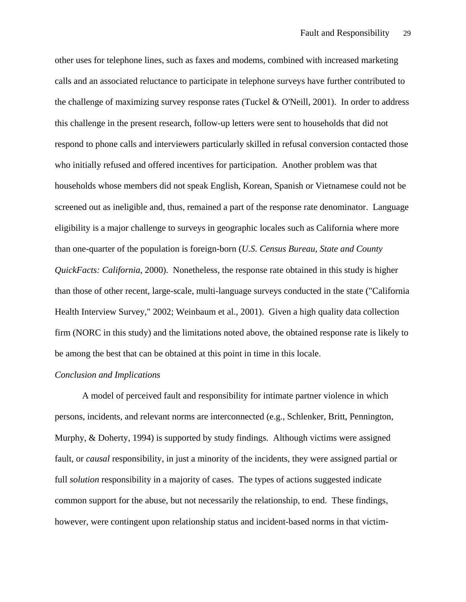other uses for telephone lines, such as faxes and modems, combined with increased marketing calls and an associated reluctance to participate in telephone surveys have further contributed to the challenge of maximizing survey response rates (Tuckel & O'Neill, 2001). In order to address this challenge in the present research, follow-up letters were sent to households that did not respond to phone calls and interviewers particularly skilled in refusal conversion contacted those who initially refused and offered incentives for participation. Another problem was that households whose members did not speak English, Korean, Spanish or Vietnamese could not be screened out as ineligible and, thus, remained a part of the response rate denominator. Language eligibility is a major challenge to surveys in geographic locales such as California where more than one-quarter of the population is foreign-born (*U.S. Census Bureau, State and County QuickFacts: California*, 2000). Nonetheless, the response rate obtained in this study is higher than those of other recent, large-scale, multi-language surveys conducted in the state ("California Health Interview Survey," 2002; Weinbaum et al., 2001). Given a high quality data collection firm (NORC in this study) and the limitations noted above, the obtained response rate is likely to be among the best that can be obtained at this point in time in this locale.

## *Conclusion and Implications*

A model of perceived fault and responsibility for intimate partner violence in which persons, incidents, and relevant norms are interconnected (e.g., Schlenker, Britt, Pennington, Murphy, & Doherty, 1994) is supported by study findings. Although victims were assigned fault, or *causal* responsibility, in just a minority of the incidents, they were assigned partial or full *solution* responsibility in a majority of cases. The types of actions suggested indicate common support for the abuse, but not necessarily the relationship, to end. These findings, however, were contingent upon relationship status and incident-based norms in that victim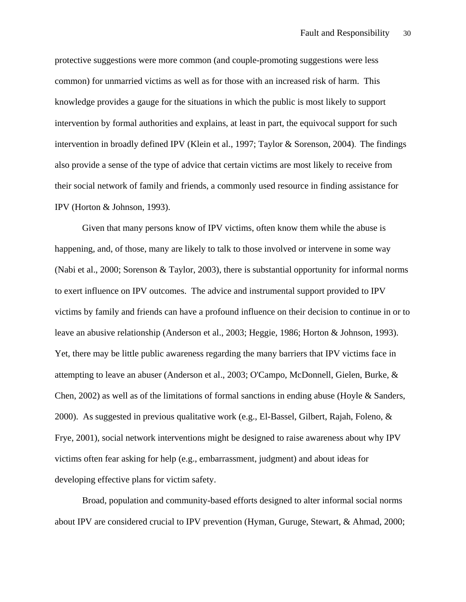protective suggestions were more common (and couple-promoting suggestions were less common) for unmarried victims as well as for those with an increased risk of harm. This knowledge provides a gauge for the situations in which the public is most likely to support intervention by formal authorities and explains, at least in part, the equivocal support for such intervention in broadly defined IPV (Klein et al., 1997; Taylor & Sorenson, 2004). The findings also provide a sense of the type of advice that certain victims are most likely to receive from their social network of family and friends, a commonly used resource in finding assistance for IPV (Horton & Johnson, 1993).

Given that many persons know of IPV victims, often know them while the abuse is happening, and, of those, many are likely to talk to those involved or intervene in some way (Nabi et al., 2000; Sorenson & Taylor, 2003), there is substantial opportunity for informal norms to exert influence on IPV outcomes. The advice and instrumental support provided to IPV victims by family and friends can have a profound influence on their decision to continue in or to leave an abusive relationship (Anderson et al., 2003; Heggie, 1986; Horton & Johnson, 1993). Yet, there may be little public awareness regarding the many barriers that IPV victims face in attempting to leave an abuser (Anderson et al., 2003; O'Campo, McDonnell, Gielen, Burke, & Chen, 2002) as well as of the limitations of formal sanctions in ending abuse (Hoyle & Sanders, 2000). As suggested in previous qualitative work (e.g., El-Bassel, Gilbert, Rajah, Foleno, & Frye, 2001), social network interventions might be designed to raise awareness about why IPV victims often fear asking for help (e.g., embarrassment, judgment) and about ideas for developing effective plans for victim safety.

Broad, population and community-based efforts designed to alter informal social norms about IPV are considered crucial to IPV prevention (Hyman, Guruge, Stewart, & Ahmad, 2000;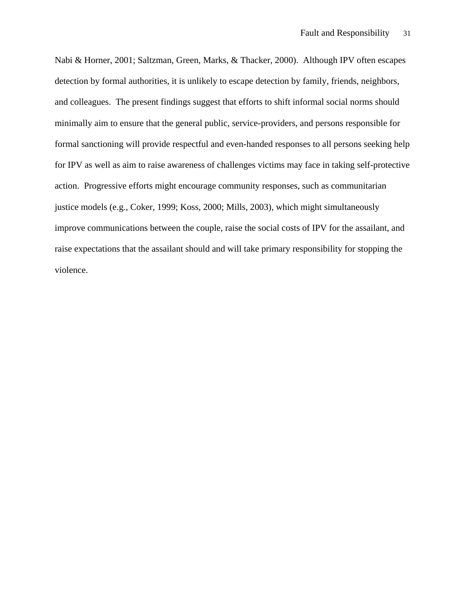Nabi & Horner, 2001; Saltzman, Green, Marks, & Thacker, 2000). Although IPV often escapes detection by formal authorities, it is unlikely to escape detection by family, friends, neighbors, and colleagues. The present findings suggest that efforts to shift informal social norms should minimally aim to ensure that the general public, service-providers, and persons responsible for formal sanctioning will provide respectful and even-handed responses to all persons seeking help for IPV as well as aim to raise awareness of challenges victims may face in taking self-protective action. Progressive efforts might encourage community responses, such as communitarian justice models (e.g., Coker, 1999; Koss, 2000; Mills, 2003), which might simultaneously improve communications between the couple, raise the social costs of IPV for the assailant, and raise expectations that the assailant should and will take primary responsibility for stopping the violence.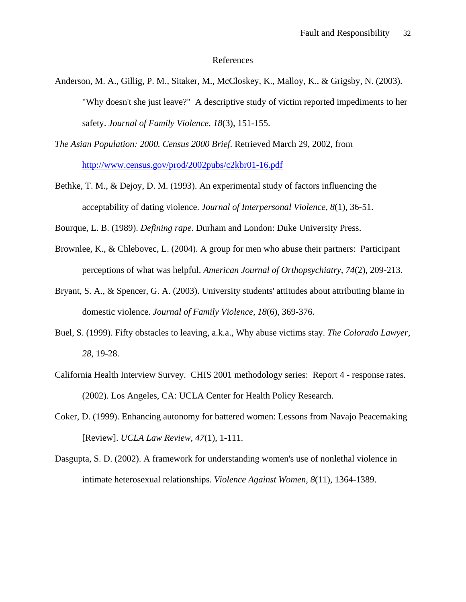## References

- Anderson, M. A., Gillig, P. M., Sitaker, M., McCloskey, K., Malloy, K., & Grigsby, N. (2003). "Why doesn't she just leave?" A descriptive study of victim reported impediments to her safety. *Journal of Family Violence, 18*(3), 151-155.
- *The Asian Population: 2000. Census 2000 Brief*. Retrieved March 29, 2002, from <http://www.census.gov/prod/2002pubs/c2kbr01-16.pdf>
- Bethke, T. M., & Dejoy, D. M. (1993). An experimental study of factors influencing the acceptability of dating violence. *Journal of Interpersonal Violence, 8*(1), 36-51.
- Bourque, L. B. (1989). *Defining rape*. Durham and London: Duke University Press.
- Brownlee, K., & Chlebovec, L. (2004). A group for men who abuse their partners: Participant perceptions of what was helpful. *American Journal of Orthopsychiatry, 74*(2), 209-213.
- Bryant, S. A., & Spencer, G. A. (2003). University students' attitudes about attributing blame in domestic violence. *Journal of Family Violence, 18*(6), 369-376.
- Buel, S. (1999). Fifty obstacles to leaving, a.k.a., Why abuse victims stay. *The Colorado Lawyer, 28*, 19-28.
- California Health Interview Survey. CHIS 2001 methodology series: Report 4 response rates. (2002). Los Angeles, CA: UCLA Center for Health Policy Research.
- Coker, D. (1999). Enhancing autonomy for battered women: Lessons from Navajo Peacemaking [Review]. *UCLA Law Review, 47*(1), 1-111.
- Dasgupta, S. D. (2002). A framework for understanding women's use of nonlethal violence in intimate heterosexual relationships. *Violence Against Women, 8*(11), 1364-1389.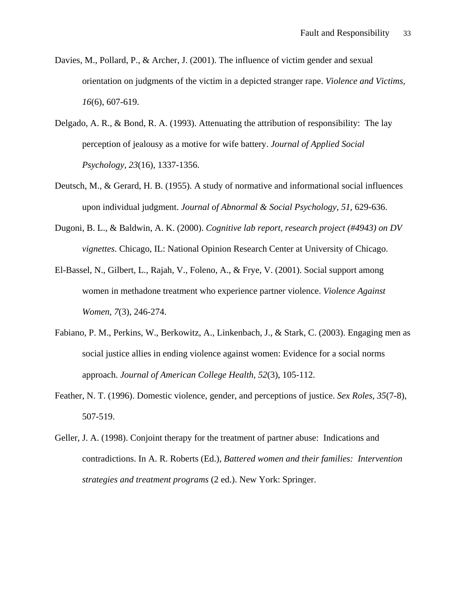- Davies, M., Pollard, P., & Archer, J. (2001). The influence of victim gender and sexual orientation on judgments of the victim in a depicted stranger rape. *Violence and Victims, 16*(6), 607-619.
- Delgado, A. R., & Bond, R. A. (1993). Attenuating the attribution of responsibility: The lay perception of jealousy as a motive for wife battery. *Journal of Applied Social Psychology, 23*(16), 1337-1356.
- Deutsch, M., & Gerard, H. B. (1955). A study of normative and informational social influences upon individual judgment. *Journal of Abnormal & Social Psychology, 51*, 629-636.
- Dugoni, B. L., & Baldwin, A. K. (2000). *Cognitive lab report, research project (#4943) on DV vignettes*. Chicago, IL: National Opinion Research Center at University of Chicago.
- El-Bassel, N., Gilbert, L., Rajah, V., Foleno, A., & Frye, V. (2001). Social support among women in methadone treatment who experience partner violence. *Violence Against Women, 7*(3), 246-274.
- Fabiano, P. M., Perkins, W., Berkowitz, A., Linkenbach, J., & Stark, C. (2003). Engaging men as social justice allies in ending violence against women: Evidence for a social norms approach. *Journal of American College Health, 52*(3), 105-112.
- Feather, N. T. (1996). Domestic violence, gender, and perceptions of justice. *Sex Roles, 35*(7-8), 507-519.
- Geller, J. A. (1998). Conjoint therapy for the treatment of partner abuse: Indications and contradictions. In A. R. Roberts (Ed.), *Battered women and their families: Intervention strategies and treatment programs* (2 ed.). New York: Springer.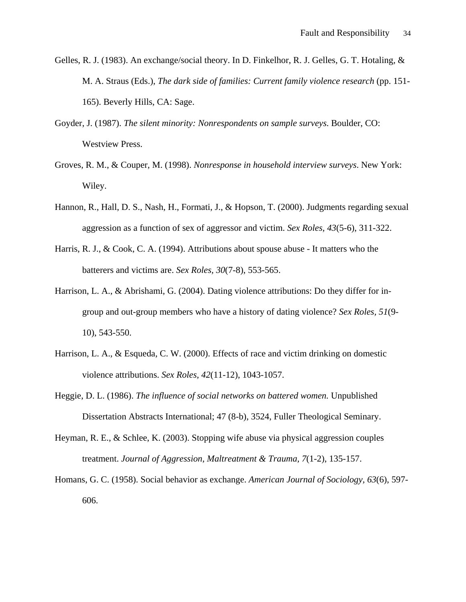- Gelles, R. J. (1983). An exchange/social theory. In D. Finkelhor, R. J. Gelles, G. T. Hotaling, & M. A. Straus (Eds.), *The dark side of families: Current family violence research* (pp. 151- 165). Beverly Hills, CA: Sage.
- Goyder, J. (1987). *The silent minority: Nonrespondents on sample surveys*. Boulder, CO: Westview Press.
- Groves, R. M., & Couper, M. (1998). *Nonresponse in household interview surveys*. New York: Wiley.
- Hannon, R., Hall, D. S., Nash, H., Formati, J., & Hopson, T. (2000). Judgments regarding sexual aggression as a function of sex of aggressor and victim. *Sex Roles, 43*(5-6), 311-322.
- Harris, R. J., & Cook, C. A. (1994). Attributions about spouse abuse It matters who the batterers and victims are. *Sex Roles, 30*(7-8), 553-565.
- Harrison, L. A., & Abrishami, G. (2004). Dating violence attributions: Do they differ for ingroup and out-group members who have a history of dating violence? *Sex Roles, 51*(9- 10), 543-550.
- Harrison, L. A., & Esqueda, C. W. (2000). Effects of race and victim drinking on domestic violence attributions. *Sex Roles, 42*(11-12), 1043-1057.
- Heggie, D. L. (1986). *The influence of social networks on battered women.* Unpublished Dissertation Abstracts International; 47 (8-b), 3524, Fuller Theological Seminary.
- Heyman, R. E., & Schlee, K. (2003). Stopping wife abuse via physical aggression couples treatment. *Journal of Aggression, Maltreatment & Trauma, 7*(1-2), 135-157.
- Homans, G. C. (1958). Social behavior as exchange. *American Journal of Sociology, 63*(6), 597- 606.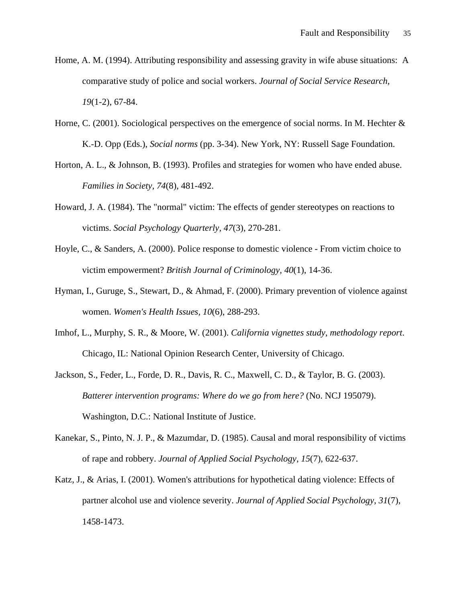- Home, A. M. (1994). Attributing responsibility and assessing gravity in wife abuse situations: A comparative study of police and social workers. *Journal of Social Service Research, 19*(1-2), 67-84.
- Horne, C. (2001). Sociological perspectives on the emergence of social norms. In M. Hechter & K.-D. Opp (Eds.), *Social norms* (pp. 3-34). New York, NY: Russell Sage Foundation.
- Horton, A. L., & Johnson, B. (1993). Profiles and strategies for women who have ended abuse. *Families in Society, 74*(8), 481-492.
- Howard, J. A. (1984). The "normal" victim: The effects of gender stereotypes on reactions to victims. *Social Psychology Quarterly, 47*(3), 270-281.
- Hoyle, C., & Sanders, A. (2000). Police response to domestic violence From victim choice to victim empowerment? *British Journal of Criminology, 40*(1), 14-36.
- Hyman, I., Guruge, S., Stewart, D., & Ahmad, F. (2000). Primary prevention of violence against women. *Women's Health Issues, 10*(6), 288-293.
- Imhof, L., Murphy, S. R., & Moore, W. (2001). *California vignettes study, methodology report*. Chicago, IL: National Opinion Research Center, University of Chicago.
- Jackson, S., Feder, L., Forde, D. R., Davis, R. C., Maxwell, C. D., & Taylor, B. G. (2003). *Batterer intervention programs: Where do we go from here?* (No. NCJ 195079). Washington, D.C.: National Institute of Justice.
- Kanekar, S., Pinto, N. J. P., & Mazumdar, D. (1985). Causal and moral responsibility of victims of rape and robbery. *Journal of Applied Social Psychology, 15*(7), 622-637.
- Katz, J., & Arias, I. (2001). Women's attributions for hypothetical dating violence: Effects of partner alcohol use and violence severity. *Journal of Applied Social Psychology, 31*(7), 1458-1473.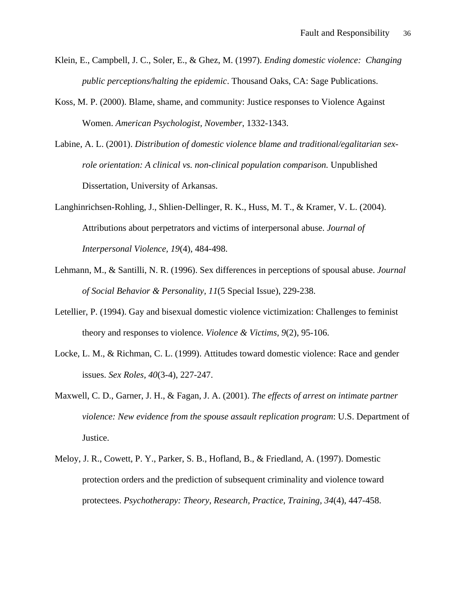- Klein, E., Campbell, J. C., Soler, E., & Ghez, M. (1997). *Ending domestic violence: Changing public perceptions/halting the epidemic*. Thousand Oaks, CA: Sage Publications.
- Koss, M. P. (2000). Blame, shame, and community: Justice responses to Violence Against Women. *American Psychologist, November*, 1332-1343.
- Labine, A. L. (2001). *Distribution of domestic violence blame and traditional/egalitarian sexrole orientation: A clinical vs. non-clinical population comparison.* Unpublished Dissertation, University of Arkansas.
- Langhinrichsen-Rohling, J., Shlien-Dellinger, R. K., Huss, M. T., & Kramer, V. L. (2004). Attributions about perpetrators and victims of interpersonal abuse. *Journal of Interpersonal Violence, 19*(4), 484-498.
- Lehmann, M., & Santilli, N. R. (1996). Sex differences in perceptions of spousal abuse. *Journal of Social Behavior & Personality, 11*(5 Special Issue), 229-238.
- Letellier, P. (1994). Gay and bisexual domestic violence victimization: Challenges to feminist theory and responses to violence. *Violence & Victims, 9*(2), 95-106.
- Locke, L. M., & Richman, C. L. (1999). Attitudes toward domestic violence: Race and gender issues. *Sex Roles, 40*(3-4), 227-247.
- Maxwell, C. D., Garner, J. H., & Fagan, J. A. (2001). *The effects of arrest on intimate partner violence: New evidence from the spouse assault replication program*: U.S. Department of Justice.
- Meloy, J. R., Cowett, P. Y., Parker, S. B., Hofland, B., & Friedland, A. (1997). Domestic protection orders and the prediction of subsequent criminality and violence toward protectees. *Psychotherapy: Theory, Research, Practice, Training, 34*(4), 447-458.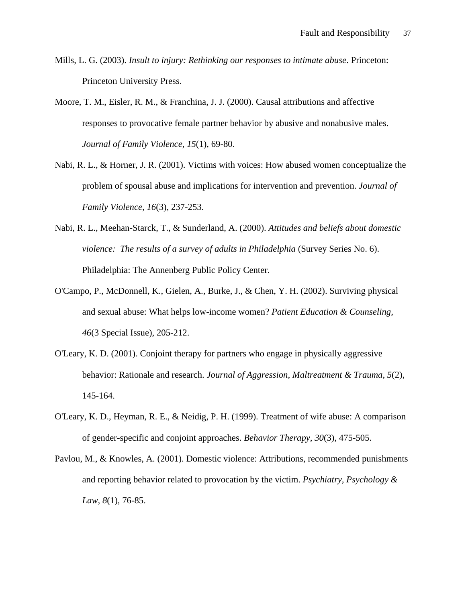- Mills, L. G. (2003). *Insult to injury: Rethinking our responses to intimate abuse*. Princeton: Princeton University Press.
- Moore, T. M., Eisler, R. M., & Franchina, J. J. (2000). Causal attributions and affective responses to provocative female partner behavior by abusive and nonabusive males. *Journal of Family Violence, 15*(1), 69-80.
- Nabi, R. L., & Horner, J. R. (2001). Victims with voices: How abused women conceptualize the problem of spousal abuse and implications for intervention and prevention. *Journal of Family Violence, 16*(3), 237-253.
- Nabi, R. L., Meehan-Starck, T., & Sunderland, A. (2000). *Attitudes and beliefs about domestic violence: The results of a survey of adults in Philadelphia* (Survey Series No. 6). Philadelphia: The Annenberg Public Policy Center.
- O'Campo, P., McDonnell, K., Gielen, A., Burke, J., & Chen, Y. H. (2002). Surviving physical and sexual abuse: What helps low-income women? *Patient Education & Counseling, 46*(3 Special Issue), 205-212.
- O'Leary, K. D. (2001). Conjoint therapy for partners who engage in physically aggressive behavior: Rationale and research. *Journal of Aggression, Maltreatment & Trauma, 5*(2), 145-164.
- O'Leary, K. D., Heyman, R. E., & Neidig, P. H. (1999). Treatment of wife abuse: A comparison of gender-specific and conjoint approaches. *Behavior Therapy, 30*(3), 475-505.
- Pavlou, M., & Knowles, A. (2001). Domestic violence: Attributions, recommended punishments and reporting behavior related to provocation by the victim. *Psychiatry, Psychology & Law, 8*(1), 76-85.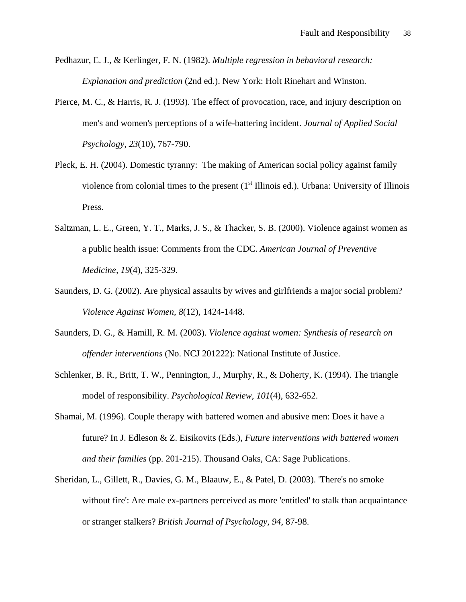- Pedhazur, E. J., & Kerlinger, F. N. (1982). *Multiple regression in behavioral research: Explanation and prediction* (2nd ed.). New York: Holt Rinehart and Winston.
- Pierce, M. C., & Harris, R. J. (1993). The effect of provocation, race, and injury description on men's and women's perceptions of a wife-battering incident. *Journal of Applied Social Psychology, 23*(10), 767-790.
- Pleck, E. H. (2004). Domestic tyranny: The making of American social policy against family violence from colonial times to the present  $(1<sup>st</sup>$  Illinois ed.). Urbana: University of Illinois Press.
- Saltzman, L. E., Green, Y. T., Marks, J. S., & Thacker, S. B. (2000). Violence against women as a public health issue: Comments from the CDC. *American Journal of Preventive Medicine, 19*(4), 325-329.
- Saunders, D. G. (2002). Are physical assaults by wives and girlfriends a major social problem? *Violence Against Women, 8*(12), 1424-1448.
- Saunders, D. G., & Hamill, R. M. (2003). *Violence against women: Synthesis of research on offender interventions* (No. NCJ 201222): National Institute of Justice.
- Schlenker, B. R., Britt, T. W., Pennington, J., Murphy, R., & Doherty, K. (1994). The triangle model of responsibility. *Psychological Review, 101*(4), 632-652.
- Shamai, M. (1996). Couple therapy with battered women and abusive men: Does it have a future? In J. Edleson & Z. Eisikovits (Eds.), *Future interventions with battered women and their families* (pp. 201-215). Thousand Oaks, CA: Sage Publications.
- Sheridan, L., Gillett, R., Davies, G. M., Blaauw, E., & Patel, D. (2003). 'There's no smoke without fire': Are male ex-partners perceived as more 'entitled' to stalk than acquaintance or stranger stalkers? *British Journal of Psychology, 94*, 87-98.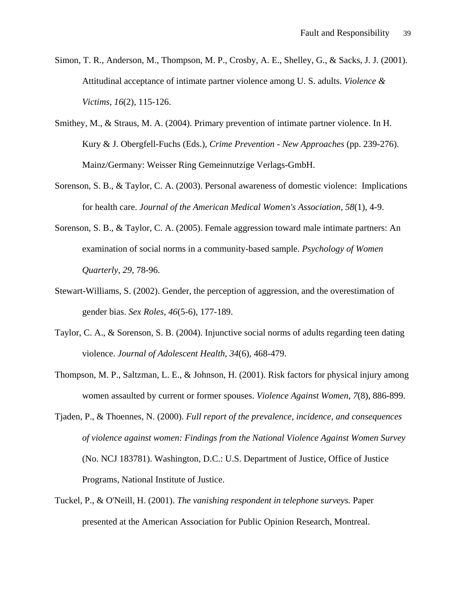- Simon, T. R., Anderson, M., Thompson, M. P., Crosby, A. E., Shelley, G., & Sacks, J. J. (2001). Attitudinal acceptance of intimate partner violence among U. S. adults. *Violence & Victims, 16*(2), 115-126.
- Smithey, M., & Straus, M. A. (2004). Primary prevention of intimate partner violence. In H. Kury & J. Obergfell-Fuchs (Eds.), *Crime Prevention - New Approaches* (pp. 239-276). Mainz/Germany: Weisser Ring Gemeinnutzige Verlags-GmbH.
- Sorenson, S. B., & Taylor, C. A. (2003). Personal awareness of domestic violence: Implications for health care. *Journal of the American Medical Women's Association, 58*(1), 4-9.
- Sorenson, S. B., & Taylor, C. A. (2005). Female aggression toward male intimate partners: An examination of social norms in a community-based sample. *Psychology of Women Quarterly, 29*, 78-96.
- Stewart-Williams, S. (2002). Gender, the perception of aggression, and the overestimation of gender bias. *Sex Roles, 46*(5-6), 177-189.
- Taylor, C. A., & Sorenson, S. B. (2004). Injunctive social norms of adults regarding teen dating violence. *Journal of Adolescent Health, 34*(6), 468-479.
- Thompson, M. P., Saltzman, L. E., & Johnson, H. (2001). Risk factors for physical injury among women assaulted by current or former spouses. *Violence Against Women, 7*(8), 886-899.
- Tjaden, P., & Thoennes, N. (2000). *Full report of the prevalence, incidence, and consequences of violence against women: Findings from the National Violence Against Women Survey* (No. NCJ 183781). Washington, D.C.: U.S. Department of Justice, Office of Justice Programs, National Institute of Justice.
- Tuckel, P., & O'Neill, H. (2001). *The vanishing respondent in telephone surveys.* Paper presented at the American Association for Public Opinion Research, Montreal.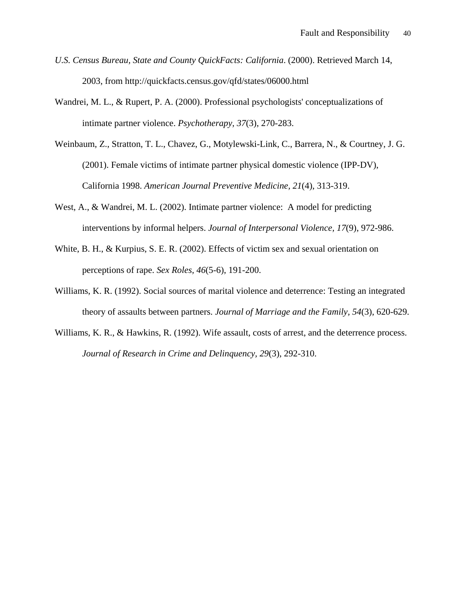- *U.S. Census Bureau, State and County QuickFacts: California*. (2000). Retrieved March 14, 2003, from http://quickfacts.census.gov/qfd/states/06000.html
- Wandrei, M. L., & Rupert, P. A. (2000). Professional psychologists' conceptualizations of intimate partner violence. *Psychotherapy, 37*(3), 270-283.
- Weinbaum, Z., Stratton, T. L., Chavez, G., Motylewski-Link, C., Barrera, N., & Courtney, J. G. (2001). Female victims of intimate partner physical domestic violence (IPP-DV), California 1998. *American Journal Preventive Medicine, 21*(4), 313-319.
- West, A., & Wandrei, M. L. (2002). Intimate partner violence: A model for predicting interventions by informal helpers. *Journal of Interpersonal Violence, 17*(9), 972-986.
- White, B. H., & Kurpius, S. E. R. (2002). Effects of victim sex and sexual orientation on perceptions of rape. *Sex Roles, 46*(5-6), 191-200.
- Williams, K. R. (1992). Social sources of marital violence and deterrence: Testing an integrated theory of assaults between partners. *Journal of Marriage and the Family, 54*(3), 620-629.
- Williams, K. R., & Hawkins, R. (1992). Wife assault, costs of arrest, and the deterrence process. *Journal of Research in Crime and Delinquency, 29*(3), 292-310.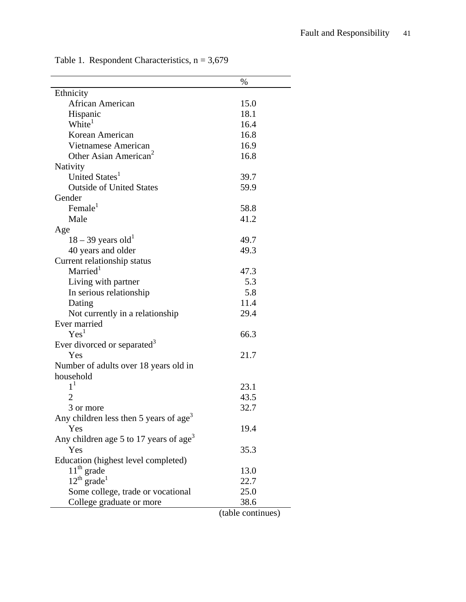|                                                    | $\%$                        |
|----------------------------------------------------|-----------------------------|
| Ethnicity                                          |                             |
| African American                                   | 15.0                        |
| Hispanic                                           | 18.1                        |
| White <sup>1</sup>                                 | 16.4                        |
| Korean American                                    | 16.8                        |
| Vietnamese American                                | 16.9                        |
| Other Asian American <sup>2</sup>                  | 16.8                        |
| Nativity                                           |                             |
| United States <sup>1</sup>                         | 39.7                        |
| <b>Outside of United States</b>                    | 59.9                        |
| Gender                                             |                             |
| Female $1$                                         | 58.8                        |
| Male                                               | 41.2                        |
| Age                                                |                             |
| $18 - 39$ years old <sup>1</sup>                   | 49.7                        |
| 40 years and older                                 | 49.3                        |
| Current relationship status                        |                             |
| Married <sup>1</sup>                               | 47.3                        |
| Living with partner                                | 5.3                         |
| In serious relationship                            | 5.8                         |
| Dating                                             | 11.4                        |
| Not currently in a relationship                    | 29.4                        |
| Ever married                                       |                             |
| Yes <sup>1</sup>                                   | 66.3                        |
| Ever divorced or separated <sup>3</sup>            |                             |
| Yes                                                | 21.7                        |
| Number of adults over 18 years old in              |                             |
| household                                          |                             |
| $1^1$                                              | 23.1                        |
|                                                    | 43.5                        |
| 3 or more                                          | 32.7                        |
| Any children less then 5 years of age <sup>3</sup> |                             |
| Yes                                                | 19.4                        |
| Any children age 5 to 17 years of age <sup>3</sup> |                             |
| Yes                                                | 35.3                        |
| Education (highest level completed)                |                             |
| $11th$ grade                                       | 13.0                        |
| $12^{th}$ grade <sup>1</sup>                       | 22.7                        |
| Some college, trade or vocational                  | 25.0                        |
| College graduate or more                           | 38.6<br>$(t_0 h)$ continuou |

Table 1. Respondent Characteristics,  $n = 3,679$ 

(table continues)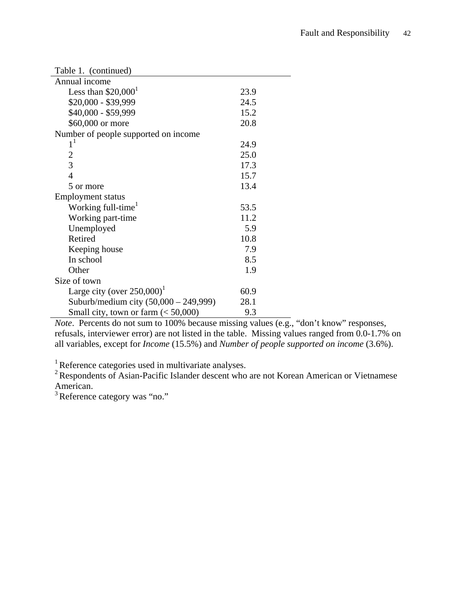| Table 1. (continued)                      |      |  |  |  |
|-------------------------------------------|------|--|--|--|
| Annual income                             |      |  |  |  |
| Less than $$20,0001$                      | 23.9 |  |  |  |
| \$20,000 - \$39,999                       | 24.5 |  |  |  |
| \$40,000 - \$59,999                       | 15.2 |  |  |  |
| \$60,000 or more                          | 20.8 |  |  |  |
| Number of people supported on income      |      |  |  |  |
| $1^1$                                     | 24.9 |  |  |  |
| 2                                         | 25.0 |  |  |  |
| $\overline{3}$                            | 17.3 |  |  |  |
| $\overline{4}$                            | 15.7 |  |  |  |
| 5 or more                                 | 13.4 |  |  |  |
| <b>Employment status</b>                  |      |  |  |  |
| Working full-time <sup>1</sup>            | 53.5 |  |  |  |
| Working part-time                         | 11.2 |  |  |  |
| Unemployed                                | 5.9  |  |  |  |
| Retired                                   | 10.8 |  |  |  |
| Keeping house                             | 7.9  |  |  |  |
| In school                                 | 8.5  |  |  |  |
| Other                                     | 1.9  |  |  |  |
| Size of town                              |      |  |  |  |
| Large city (over $250,000$ ) <sup>1</sup> | 60.9 |  |  |  |
| Suburb/medium city (50,000 - 249,999)     | 28.1 |  |  |  |
| Small city, town or farm $(< 50,000)$     | 9.3  |  |  |  |

*Note*. Percents do not sum to 100% because missing values (e.g., "don't know" responses, refusals, interviewer error) are not listed in the table. Missing values ranged from 0.0-1.7% on all variables, except for *Income* (15.5%) and *Number of people supported on income* (3.6%).

 $1$  Reference categories used in multivariate analyses.

 $2$  Respondents of Asian-Pacific Islander descent who are not Korean American or Vietnamese American.

<sup>3</sup> Reference category was "no."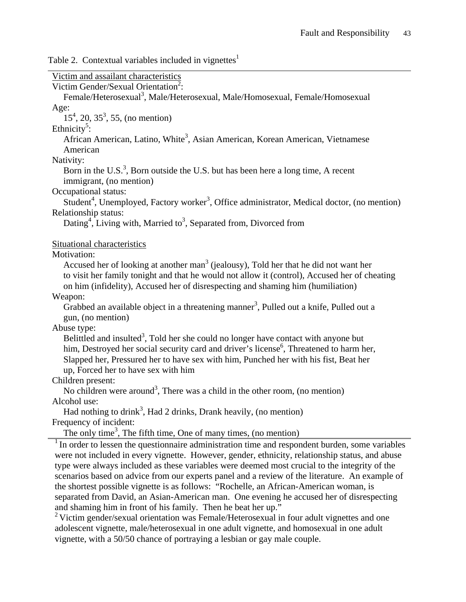Table 2. Contextual variables included in vignettes<sup>1</sup>

| Victim and assailant characteristics                                                                                |
|---------------------------------------------------------------------------------------------------------------------|
| Victim Gender/Sexual Orientation <sup>2</sup> :                                                                     |
| Female/Heterosexual <sup>3</sup> , Male/Heterosexual, Male/Homosexual, Female/Homosexual                            |
| Age:                                                                                                                |
| $15^4$ , 20, 35 <sup>3</sup> , 55, (no mention)                                                                     |
| Ethnicity <sup>3</sup> :                                                                                            |
| African American, Latino, White <sup>3</sup> , Asian American, Korean American, Vietnamese                          |
| American                                                                                                            |
| Nativity:                                                                                                           |
| Born in the U.S. <sup>3</sup> , Born outside the U.S. but has been here a long time, A recent                       |
| immigrant, (no mention)                                                                                             |
| Occupational status:                                                                                                |
| Student <sup>4</sup> , Unemployed, Factory worker <sup>3</sup> , Office administrator, Medical doctor, (no mention) |
| Relationship status:                                                                                                |
| Dating <sup>4</sup> , Living with, Married to <sup>3</sup> , Separated from, Divorced from                          |
|                                                                                                                     |
| Situational characteristics                                                                                         |
| Motivation:                                                                                                         |
| Accused her of looking at another man <sup>3</sup> (jealousy), Told her that he did not want her                    |
| to visit her family tonight and that he would not allow it (control), Accused her of cheating                       |
| on him (infidelity), Accused her of disrespecting and shaming him (humiliation)                                     |
| Weapon:                                                                                                             |
| Grabbed an available object in a threatening manner <sup>3</sup> , Pulled out a knife, Pulled out a                 |
| gun, (no mention)                                                                                                   |
| Abuse type:                                                                                                         |
| Belittled and insulted <sup>3</sup> , Told her she could no longer have contact with anyone but                     |
| him, Destroyed her social security card and driver's license <sup>6</sup> , Threatened to harm her,                 |
| Slapped her, Pressured her to have sex with him, Punched her with his fist, Beat her                                |
| up, Forced her to have sex with him                                                                                 |
| Children present:                                                                                                   |
| No children were around <sup>3</sup> , There was a child in the other room, (no mention)                            |
| Alcohol use:                                                                                                        |
| Had nothing to drink <sup>3</sup> , Had 2 drinks, Drank heavily, (no mention)                                       |
| Frequency of incident:                                                                                              |
| The only time <sup>3</sup> , The fifth time, One of many times, (no mention)                                        |
| $1$ In order to lessen the questionnaire administration time and respondent burden, some variables                  |
| were not included in every vignette. However, gender, ethnicity, relationship status, and abuse                     |
| type were always included as these variables were deemed most crucial to the integrity of the                       |
| scenarios based on advice from our experts panel and a review of the literature. An example of                      |
| the shortest possible vignette is as follows: "Rochelle, an African-American woman, is                              |
| separated from David, an Asian-American man. One evening he accused her of disrespecting                            |
| and shaming him in front of his family. Then he beat her up."                                                       |
| <sup>2</sup> Victim gender/sexual orientation was Female/Heterosexual in four adult vignettes and one               |
| adolescent vignette, male/heterosexual in one adult vignette, and homosexual in one adult                           |
| vignette, with a 50/50 chance of portraying a lesbian or gay male couple.                                           |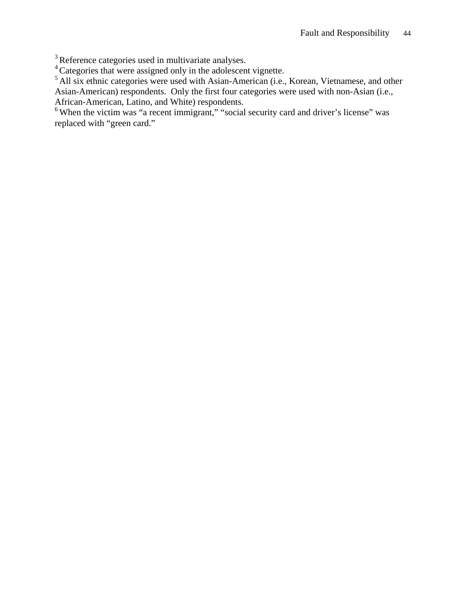$3$  Reference categories used in multivariate analyses.

<sup>4</sup> Categories that were assigned only in the adolescent vignette.

<sup>5</sup> All six ethnic categories were used with Asian-American (i.e., Korean, Vietnamese, and other Asian-American) respondents. Only the first four categories were used with non-Asian (i.e., African-American, Latino, and White) respondents.

<sup>6</sup> When the victim was "a recent immigrant," "social security card and driver's license" was replaced with "green card."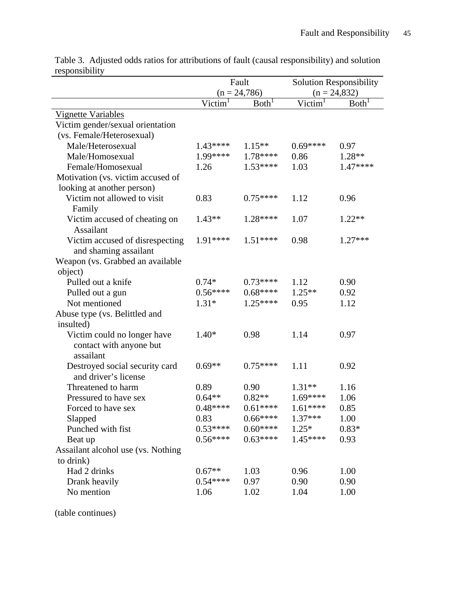|                                    | Fault          |                   | <b>Solution Responsibility</b> |                   |
|------------------------------------|----------------|-------------------|--------------------------------|-------------------|
|                                    | $(n = 24,786)$ |                   | $(n = 24,832)$                 |                   |
|                                    | Victim         | Both <sup>1</sup> | Victim                         | Both <sup>'</sup> |
| <b>Vignette Variables</b>          |                |                   |                                |                   |
| Victim gender/sexual orientation   |                |                   |                                |                   |
| (vs. Female/Heterosexual)          |                |                   |                                |                   |
| Male/Heterosexual                  | $1.43***$      | $1.15**$          | $0.69***$                      | 0.97              |
| Male/Homosexual                    | $1.99****$     | $1.78***$         | 0.86                           | $1.28**$          |
| Female/Homosexual                  | 1.26           | $1.53***$         | 1.03                           | $1.47***$         |
| Motivation (vs. victim accused of  |                |                   |                                |                   |
| looking at another person)         |                |                   |                                |                   |
| Victim not allowed to visit        | 0.83           | $0.75***$         | 1.12                           | 0.96              |
| Family                             |                |                   |                                |                   |
| Victim accused of cheating on      | $1.43**$       | $1.28***$         | 1.07                           | $1.22**$          |
| <b>Assailant</b>                   |                |                   |                                |                   |
| Victim accused of disrespecting    | 1.91****       | $1.51***$         | 0.98                           | $1.27***$         |
| and shaming assailant              |                |                   |                                |                   |
| Weapon (vs. Grabbed an available   |                |                   |                                |                   |
| object)                            |                |                   |                                |                   |
| Pulled out a knife                 | $0.74*$        | $0.73***$         | 1.12                           | 0.90              |
| Pulled out a gun                   | $0.56***$      | $0.68***$         | $1.25**$                       | 0.92              |
| Not mentioned                      | $1.31*$        | $1.25***$         | 0.95                           | 1.12              |
| Abuse type (vs. Belittled and      |                |                   |                                |                   |
| insulted)                          |                |                   |                                |                   |
| Victim could no longer have        | $1.40*$        | 0.98              | 1.14                           | 0.97              |
| contact with anyone but            |                |                   |                                |                   |
| assailant                          |                |                   |                                |                   |
| Destroyed social security card     | $0.69**$       | $0.75***$         | 1.11                           | 0.92              |
| and driver's license               |                |                   |                                |                   |
| Threatened to harm                 | 0.89           | 0.90              | $1.31**$                       | 1.16              |
| Pressured to have sex              | $0.64**$       | $0.82**$          | $1.69***$                      | 1.06              |
| Forced to have sex                 | $0.48***$      | $0.61***$         | $1.61***$                      | 0.85              |
| Slapped                            | 0.83           | $0.66***$         | $1.37***$                      | 1.00              |
| Punched with fist                  | $0.53***$      | $0.60***$         | $1.25*$                        | $0.83*$           |
| Beat up                            | $0.56***$      | $0.63***$         | $1.45***$                      | 0.93              |
| Assailant alcohol use (vs. Nothing |                |                   |                                |                   |
| to drink)                          |                |                   |                                |                   |
| Had 2 drinks                       | $0.67**$       | 1.03              | 0.96                           | 1.00              |
| Drank heavily                      | $0.54***$      | 0.97              | 0.90                           | 0.90              |
| No mention                         | 1.06           | 1.02              | 1.04                           | 1.00              |

Table 3. Adjusted odds ratios for attributions of fault (causal responsibility) and solution responsibility

(table continues)